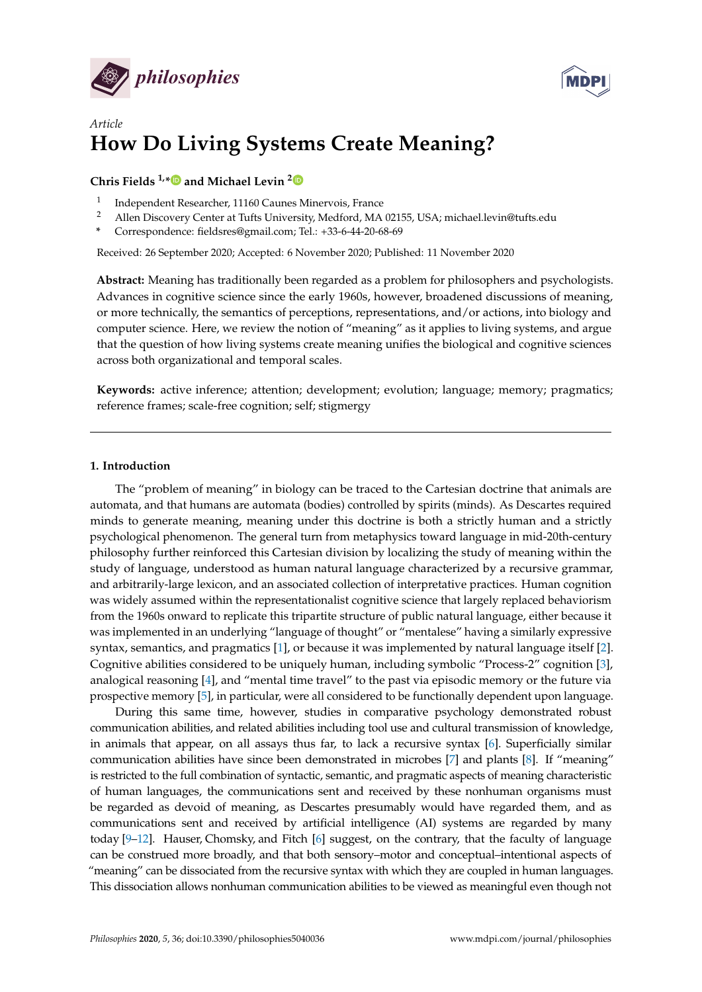



# *Article* **How Do Living Systems Create Meaning?**

# **Chris Fields 1,[\\*](https://orcid.org/0000-0002-4812-0744) and Michael Levin [2](https://orcid.org/0000-0001-7292-8084)**

- 1 Independent Researcher, 11160 Caunes Minervois, France
- <sup>2</sup> Allen Discovery Center at Tufts University, Medford, MA 02155, USA; michael.levin@tufts.edu
- **\*** Correspondence: fieldsres@gmail.com; Tel.: +33-6-44-20-68-69

Received: 26 September 2020; Accepted: 6 November 2020; Published: 11 November 2020

**Abstract:** Meaning has traditionally been regarded as a problem for philosophers and psychologists. Advances in cognitive science since the early 1960s, however, broadened discussions of meaning, or more technically, the semantics of perceptions, representations, and/or actions, into biology and computer science. Here, we review the notion of "meaning" as it applies to living systems, and argue that the question of how living systems create meaning unifies the biological and cognitive sciences across both organizational and temporal scales.

**Keywords:** active inference; attention; development; evolution; language; memory; pragmatics; reference frames; scale-free cognition; self; stigmergy

# **1. Introduction**

The "problem of meaning" in biology can be traced to the Cartesian doctrine that animals are automata, and that humans are automata (bodies) controlled by spirits (minds). As Descartes required minds to generate meaning, meaning under this doctrine is both a strictly human and a strictly psychological phenomenon. The general turn from metaphysics toward language in mid-20th-century philosophy further reinforced this Cartesian division by localizing the study of meaning within the study of language, understood as human natural language characterized by a recursive grammar, and arbitrarily-large lexicon, and an associated collection of interpretative practices. Human cognition was widely assumed within the representationalist cognitive science that largely replaced behaviorism from the 1960s onward to replicate this tripartite structure of public natural language, either because it was implemented in an underlying "language of thought" or "mentalese" having a similarly expressive syntax, semantics, and pragmatics [\[1\]](#page-15-0), or because it was implemented by natural language itself [\[2\]](#page-15-1). Cognitive abilities considered to be uniquely human, including symbolic "Process-2" cognition [\[3\]](#page-15-2), analogical reasoning [\[4\]](#page-15-3), and "mental time travel" to the past via episodic memory or the future via prospective memory [\[5\]](#page-15-4), in particular, were all considered to be functionally dependent upon language.

During this same time, however, studies in comparative psychology demonstrated robust communication abilities, and related abilities including tool use and cultural transmission of knowledge, in animals that appear, on all assays thus far, to lack a recursive syntax [\[6\]](#page-15-5). Superficially similar communication abilities have since been demonstrated in microbes [\[7\]](#page-15-6) and plants [\[8\]](#page-15-7). If "meaning" is restricted to the full combination of syntactic, semantic, and pragmatic aspects of meaning characteristic of human languages, the communications sent and received by these nonhuman organisms must be regarded as devoid of meaning, as Descartes presumably would have regarded them, and as communications sent and received by artificial intelligence (AI) systems are regarded by many today [\[9](#page-15-8)[–12\]](#page-15-9). Hauser, Chomsky, and Fitch [\[6\]](#page-15-5) suggest, on the contrary, that the faculty of language can be construed more broadly, and that both sensory–motor and conceptual–intentional aspects of "meaning" can be dissociated from the recursive syntax with which they are coupled in human languages. This dissociation allows nonhuman communication abilities to be viewed as meaningful even though not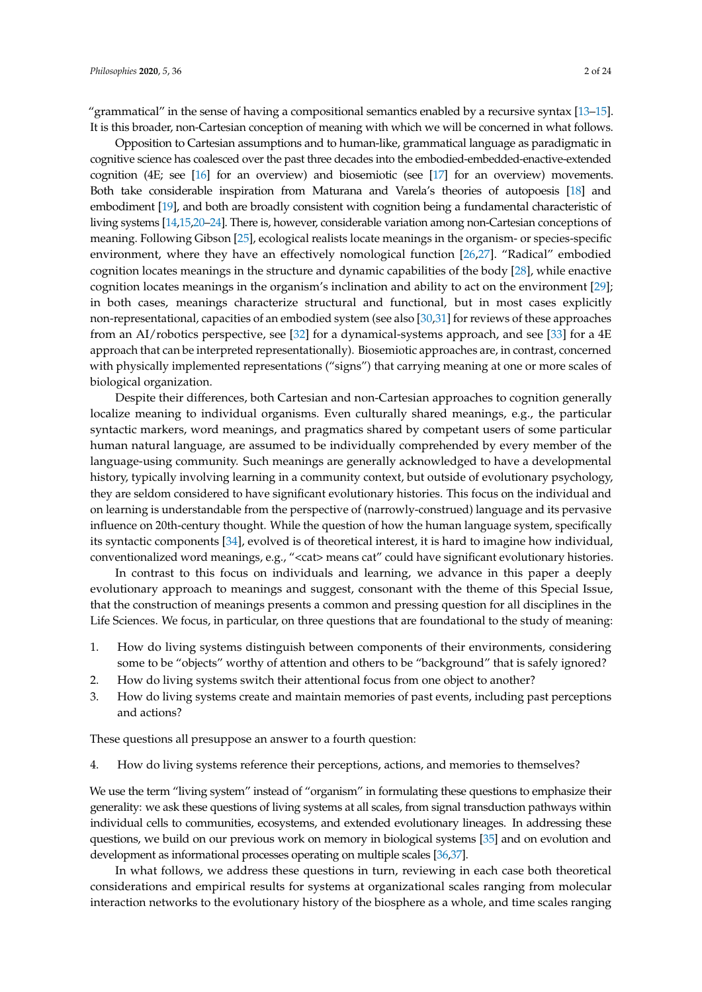"grammatical" in the sense of having a compositional semantics enabled by a recursive syntax [\[13](#page-16-0)[–15\]](#page-16-1). It is this broader, non-Cartesian conception of meaning with which we will be concerned in what follows.

Opposition to Cartesian assumptions and to human-like, grammatical language as paradigmatic in cognitive science has coalesced over the past three decades into the embodied-embedded-enactive-extended cognition (4E; see [\[16\]](#page-16-2) for an overview) and biosemiotic (see [\[17\]](#page-16-3) for an overview) movements. Both take considerable inspiration from Maturana and Varela's theories of autopoesis [\[18\]](#page-16-4) and embodiment [\[19\]](#page-16-5), and both are broadly consistent with cognition being a fundamental characteristic of living systems [\[14](#page-16-6)[,15,](#page-16-1)[20–](#page-16-7)[24\]](#page-16-8). There is, however, considerable variation among non-Cartesian conceptions of meaning. Following Gibson [\[25\]](#page-16-9), ecological realists locate meanings in the organism- or species-specific environment, where they have an effectively nomological function [\[26,](#page-16-10)[27\]](#page-16-11). "Radical" embodied cognition locates meanings in the structure and dynamic capabilities of the body [\[28\]](#page-16-12), while enactive cognition locates meanings in the organism's inclination and ability to act on the environment [\[29\]](#page-16-13); in both cases, meanings characterize structural and functional, but in most cases explicitly non-representational, capacities of an embodied system (see also [\[30,](#page-16-14)[31\]](#page-16-15) for reviews of these approaches from an AI/robotics perspective, see [\[32\]](#page-16-16) for a dynamical-systems approach, and see [\[33\]](#page-16-17) for a 4E approach that can be interpreted representationally). Biosemiotic approaches are, in contrast, concerned with physically implemented representations ("signs") that carrying meaning at one or more scales of biological organization.

Despite their differences, both Cartesian and non-Cartesian approaches to cognition generally localize meaning to individual organisms. Even culturally shared meanings, e.g., the particular syntactic markers, word meanings, and pragmatics shared by competant users of some particular human natural language, are assumed to be individually comprehended by every member of the language-using community. Such meanings are generally acknowledged to have a developmental history, typically involving learning in a community context, but outside of evolutionary psychology, they are seldom considered to have significant evolutionary histories. This focus on the individual and on learning is understandable from the perspective of (narrowly-construed) language and its pervasive influence on 20th-century thought. While the question of how the human language system, specifically its syntactic components [\[34\]](#page-16-18), evolved is of theoretical interest, it is hard to imagine how individual, conventionalized word meanings, e.g., "<cat> means cat" could have significant evolutionary histories.

In contrast to this focus on individuals and learning, we advance in this paper a deeply evolutionary approach to meanings and suggest, consonant with the theme of this Special Issue, that the construction of meanings presents a common and pressing question for all disciplines in the Life Sciences. We focus, in particular, on three questions that are foundational to the study of meaning:

- 1. How do living systems distinguish between components of their environments, considering some to be "objects" worthy of attention and others to be "background" that is safely ignored?
- 2. How do living systems switch their attentional focus from one object to another?
- 3. How do living systems create and maintain memories of past events, including past perceptions and actions?

These questions all presuppose an answer to a fourth question:

4. How do living systems reference their perceptions, actions, and memories to themselves?

We use the term "living system" instead of "organism" in formulating these questions to emphasize their generality: we ask these questions of living systems at all scales, from signal transduction pathways within individual cells to communities, ecosystems, and extended evolutionary lineages. In addressing these questions, we build on our previous work on memory in biological systems [\[35\]](#page-16-19) and on evolution and development as informational processes operating on multiple scales [\[36](#page-16-20)[,37\]](#page-16-21).

In what follows, we address these questions in turn, reviewing in each case both theoretical considerations and empirical results for systems at organizational scales ranging from molecular interaction networks to the evolutionary history of the biosphere as a whole, and time scales ranging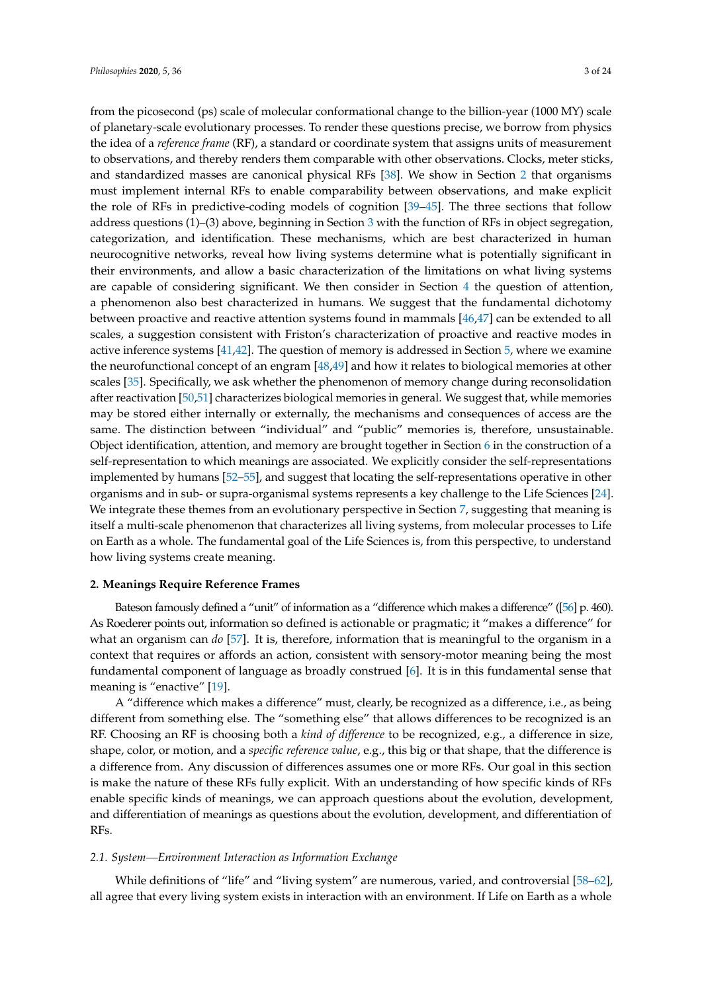from the picosecond (ps) scale of molecular conformational change to the billion-year (1000 MY) scale of planetary-scale evolutionary processes. To render these questions precise, we borrow from physics the idea of a *reference frame* (RF), a standard or coordinate system that assigns units of measurement to observations, and thereby renders them comparable with other observations. Clocks, meter sticks, and standardized masses are canonical physical RFs [\[38\]](#page-16-22). We show in Section [2](#page-2-0) that organisms must implement internal RFs to enable comparability between observations, and make explicit the role of RFs in predictive-coding models of cognition [\[39–](#page-16-23)[45\]](#page-17-0). The three sections that follow address questions (1)–(3) above, beginning in Section [3](#page-6-0) with the function of RFs in object segregation, categorization, and identification. These mechanisms, which are best characterized in human neurocognitive networks, reveal how living systems determine what is potentially significant in their environments, and allow a basic characterization of the limitations on what living systems are capable of considering significant. We then consider in Section [4](#page-9-0) the question of attention, a phenomenon also best characterized in humans. We suggest that the fundamental dichotomy between proactive and reactive attention systems found in mammals [\[46](#page-17-1)[,47\]](#page-17-2) can be extended to all scales, a suggestion consistent with Friston's characterization of proactive and reactive modes in active inference systems [\[41,](#page-17-3)[42\]](#page-17-4). The question of memory is addressed in Section [5,](#page-10-0) where we examine the neurofunctional concept of an engram [\[48,](#page-17-5)[49\]](#page-17-6) and how it relates to biological memories at other scales [\[35\]](#page-16-19). Specifically, we ask whether the phenomenon of memory change during reconsolidation after reactivation [\[50,](#page-17-7)[51\]](#page-17-8) characterizes biological memories in general. We suggest that, while memories may be stored either internally or externally, the mechanisms and consequences of access are the same. The distinction between "individual" and "public" memories is, therefore, unsustainable. Object identification, attention, and memory are brought together in Section [6](#page-13-0) in the construction of a self-representation to which meanings are associated. We explicitly consider the self-representations implemented by humans [\[52–](#page-17-9)[55\]](#page-17-10), and suggest that locating the self-representations operative in other organisms and in sub- or supra-organismal systems represents a key challenge to the Life Sciences [\[24\]](#page-16-8). We integrate these themes from an evolutionary perspective in Section [7,](#page-14-0) suggesting that meaning is itself a multi-scale phenomenon that characterizes all living systems, from molecular processes to Life on Earth as a whole. The fundamental goal of the Life Sciences is, from this perspective, to understand how living systems create meaning.

# <span id="page-2-0"></span>**2. Meanings Require Reference Frames**

Bateson famously defined a "unit" of information as a "difference which makes a difference" ([\[56\]](#page-17-11) p. 460). As Roederer points out, information so defined is actionable or pragmatic; it "makes a difference" for what an organism can *do* [\[57\]](#page-17-12). It is, therefore, information that is meaningful to the organism in a context that requires or affords an action, consistent with sensory-motor meaning being the most fundamental component of language as broadly construed [\[6\]](#page-15-5). It is in this fundamental sense that meaning is "enactive" [\[19\]](#page-16-5).

A "difference which makes a difference" must, clearly, be recognized as a difference, i.e., as being different from something else. The "something else" that allows differences to be recognized is an RF. Choosing an RF is choosing both a *kind of difference* to be recognized, e.g., a difference in size, shape, color, or motion, and a *specific reference value*, e.g., this big or that shape, that the difference is a difference from. Any discussion of differences assumes one or more RFs. Our goal in this section is make the nature of these RFs fully explicit. With an understanding of how specific kinds of RFs enable specific kinds of meanings, we can approach questions about the evolution, development, and differentiation of meanings as questions about the evolution, development, and differentiation of RFs.

#### *2.1. System—Environment Interaction as Information Exchange*

While definitions of "life" and "living system" are numerous, varied, and controversial [\[58](#page-17-13)[–62\]](#page-17-14), all agree that every living system exists in interaction with an environment. If Life on Earth as a whole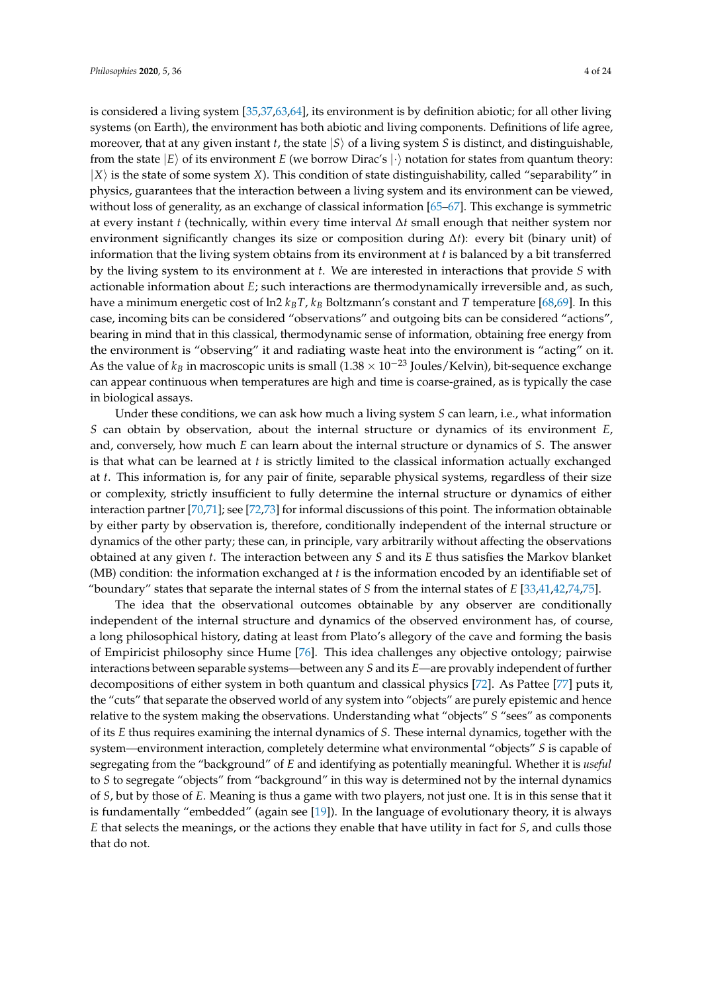is considered a living system [\[35](#page-16-19)[,37](#page-16-21)[,63,](#page-17-15)[64\]](#page-17-16), its environment is by definition abiotic; for all other living systems (on Earth), the environment has both abiotic and living components. Definitions of life agree, moreover, that at any given instant *t*, the state  $|S\rangle$  of a living system *S* is distinct, and distinguishable, from the state  $|E\rangle$  of its environment *E* (we borrow Dirac's  $|\cdot\rangle$  notation for states from quantum theory:  $|X\rangle$  is the state of some system *X*). This condition of state distinguishability, called "separability" in physics, guarantees that the interaction between a living system and its environment can be viewed, without loss of generality, as an exchange of classical information [\[65](#page-17-17)[–67\]](#page-17-18). This exchange is symmetric at every instant *t* (technically, within every time interval ∆*t* small enough that neither system nor environment significantly changes its size or composition during ∆*t*): every bit (binary unit) of information that the living system obtains from its environment at *t* is balanced by a bit transferred by the living system to its environment at *t*. We are interested in interactions that provide *S* with actionable information about *E*; such interactions are thermodynamically irreversible and, as such, have a minimum energetic cost of ln2 *kBT*, *k<sup>B</sup>* Boltzmann's constant and *T* temperature [\[68](#page-17-19)[,69\]](#page-17-20). In this case, incoming bits can be considered "observations" and outgoing bits can be considered "actions", bearing in mind that in this classical, thermodynamic sense of information, obtaining free energy from the environment is "observing" it and radiating waste heat into the environment is "acting" on it. As the value of  $k_B$  in macroscopic units is small (1.38 × 10<sup>-23</sup> Joules/Kelvin), bit-sequence exchange can appear continuous when temperatures are high and time is coarse-grained, as is typically the case in biological assays.

Under these conditions, we can ask how much a living system *S* can learn, i.e., what information *S* can obtain by observation, about the internal structure or dynamics of its environment *E*, and, conversely, how much *E* can learn about the internal structure or dynamics of *S*. The answer is that what can be learned at *t* is strictly limited to the classical information actually exchanged at *t*. This information is, for any pair of finite, separable physical systems, regardless of their size or complexity, strictly insufficient to fully determine the internal structure or dynamics of either interaction partner [\[70](#page-17-21)[,71\]](#page-18-0); see [\[72,](#page-18-1)[73\]](#page-18-2) for informal discussions of this point. The information obtainable by either party by observation is, therefore, conditionally independent of the internal structure or dynamics of the other party; these can, in principle, vary arbitrarily without affecting the observations obtained at any given *t*. The interaction between any *S* and its *E* thus satisfies the Markov blanket (MB) condition: the information exchanged at *t* is the information encoded by an identifiable set of "boundary" states that separate the internal states of *S* from the internal states of *E* [\[33,](#page-16-17)[41,](#page-17-3)[42,](#page-17-4)[74](#page-18-3)[,75\]](#page-18-4).

The idea that the observational outcomes obtainable by any observer are conditionally independent of the internal structure and dynamics of the observed environment has, of course, a long philosophical history, dating at least from Plato's allegory of the cave and forming the basis of Empiricist philosophy since Hume [\[76\]](#page-18-5). This idea challenges any objective ontology; pairwise interactions between separable systems—between any *S* and its *E*—are provably independent of further decompositions of either system in both quantum and classical physics [\[72\]](#page-18-1). As Pattee [\[77\]](#page-18-6) puts it, the "cuts" that separate the observed world of any system into "objects" are purely epistemic and hence relative to the system making the observations. Understanding what "objects" *S* "sees" as components of its *E* thus requires examining the internal dynamics of *S*. These internal dynamics, together with the system—environment interaction, completely determine what environmental "objects" *S* is capable of segregating from the "background" of *E* and identifying as potentially meaningful. Whether it is *useful* to *S* to segregate "objects" from "background" in this way is determined not by the internal dynamics of *S*, but by those of *E*. Meaning is thus a game with two players, not just one. It is in this sense that it is fundamentally "embedded" (again see [\[19\]](#page-16-5)). In the language of evolutionary theory, it is always *E* that selects the meanings, or the actions they enable that have utility in fact for *S*, and culls those that do not.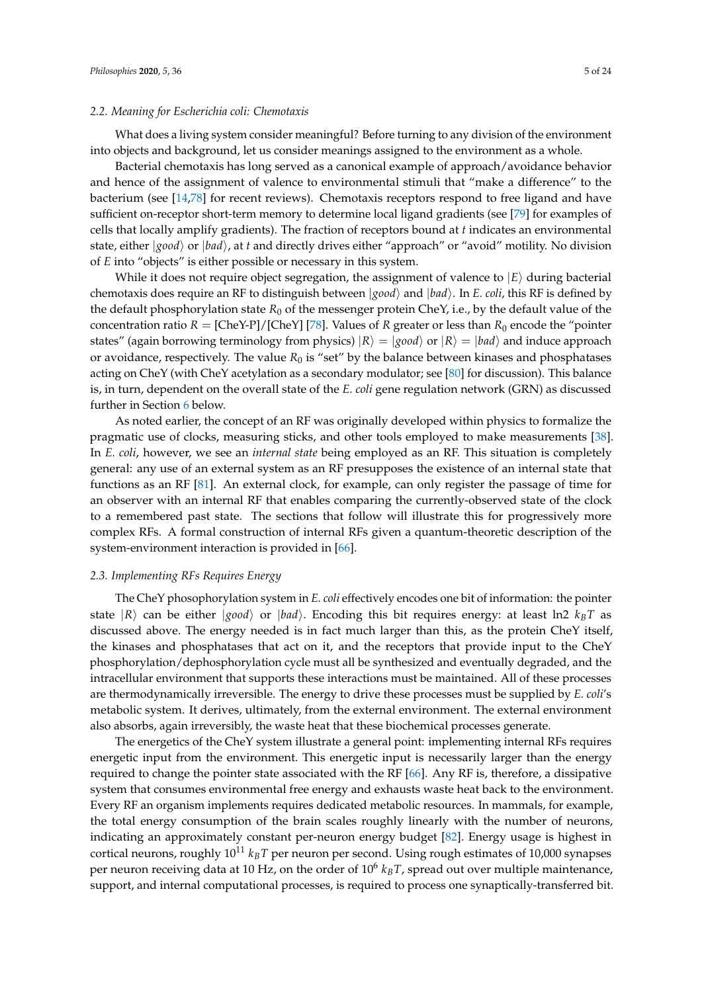# *2.2. Meaning for Escherichia coli: Chemotaxis*

What does a living system consider meaningful? Before turning to any division of the environment into objects and background, let us consider meanings assigned to the environment as a whole.

Bacterial chemotaxis has long served as a canonical example of approach/avoidance behavior and hence of the assignment of valence to environmental stimuli that "make a difference" to the bacterium (see [\[14,](#page-16-6)[78\]](#page-18-7) for recent reviews). Chemotaxis receptors respond to free ligand and have sufficient on-receptor short-term memory to determine local ligand gradients (see [\[79\]](#page-18-8) for examples of cells that locally amplify gradients). The fraction of receptors bound at *t* indicates an environmental state, either  $|good\rangle$  or  $|bad\rangle$ , at *t* and directly drives either "approach" or "avoid" motility. No division of *E* into "objects" is either possible or necessary in this system.

While it does not require object segregation, the assignment of valence to  $|E\rangle$  during bacterial chemotaxis does require an RF to distinguish between  $|good\rangle$  and  $|bad\rangle$ . In *E. coli*, this RF is defined by the default phosphorylation state  $R_0$  of the messenger protein CheY, i.e., by the default value of the concentration ratio  $R = [CheY-P]/[CheY]$  [\[78\]](#page-18-7). Values of *R* greater or less than  $R_0$  encode the "pointer" states" (again borrowing terminology from physics)  $|R\rangle = |good\rangle$  or  $|R\rangle = |bad\rangle$  and induce approach or avoidance, respectively. The value  $R_0$  is "set" by the balance between kinases and phosphatases acting on CheY (with CheY acetylation as a secondary modulator; see [\[80\]](#page-18-9) for discussion). This balance is, in turn, dependent on the overall state of the *E. coli* gene regulation network (GRN) as discussed further in Section [6](#page-13-0) below.

As noted earlier, the concept of an RF was originally developed within physics to formalize the pragmatic use of clocks, measuring sticks, and other tools employed to make measurements [\[38\]](#page-16-22). In *E. coli*, however, we see an *internal state* being employed as an RF. This situation is completely general: any use of an external system as an RF presupposes the existence of an internal state that functions as an RF [\[81\]](#page-18-10). An external clock, for example, can only register the passage of time for an observer with an internal RF that enables comparing the currently-observed state of the clock to a remembered past state. The sections that follow will illustrate this for progressively more complex RFs. A formal construction of internal RFs given a quantum-theoretic description of the system-environment interaction is provided in [\[66\]](#page-17-22).

# *2.3. Implementing RFs Requires Energy*

The CheY phosophorylation system in *E. coli* effectively encodes one bit of information: the pointer state  $|R\rangle$  can be either  $|good\rangle$  or  $|bad\rangle$ . Encoding this bit requires energy: at least ln2  $k_B T$  as discussed above. The energy needed is in fact much larger than this, as the protein CheY itself, the kinases and phosphatases that act on it, and the receptors that provide input to the CheY phosphorylation/dephosphorylation cycle must all be synthesized and eventually degraded, and the intracellular environment that supports these interactions must be maintained. All of these processes are thermodynamically irreversible. The energy to drive these processes must be supplied by *E. coli*'s metabolic system. It derives, ultimately, from the external environment. The external environment also absorbs, again irreversibly, the waste heat that these biochemical processes generate.

The energetics of the CheY system illustrate a general point: implementing internal RFs requires energetic input from the environment. This energetic input is necessarily larger than the energy required to change the pointer state associated with the RF [\[66\]](#page-17-22). Any RF is, therefore, a dissipative system that consumes environmental free energy and exhausts waste heat back to the environment. Every RF an organism implements requires dedicated metabolic resources. In mammals, for example, the total energy consumption of the brain scales roughly linearly with the number of neurons, indicating an approximately constant per-neuron energy budget [\[82\]](#page-18-11). Energy usage is highest in cortical neurons, roughly  $10^{11}$   $k_B T$  per neuron per second. Using rough estimates of 10,000 synapses per neuron receiving data at 10 Hz, on the order of 10<sup>6</sup> *kBT*, spread out over multiple maintenance, support, and internal computational processes, is required to process one synaptically-transferred bit.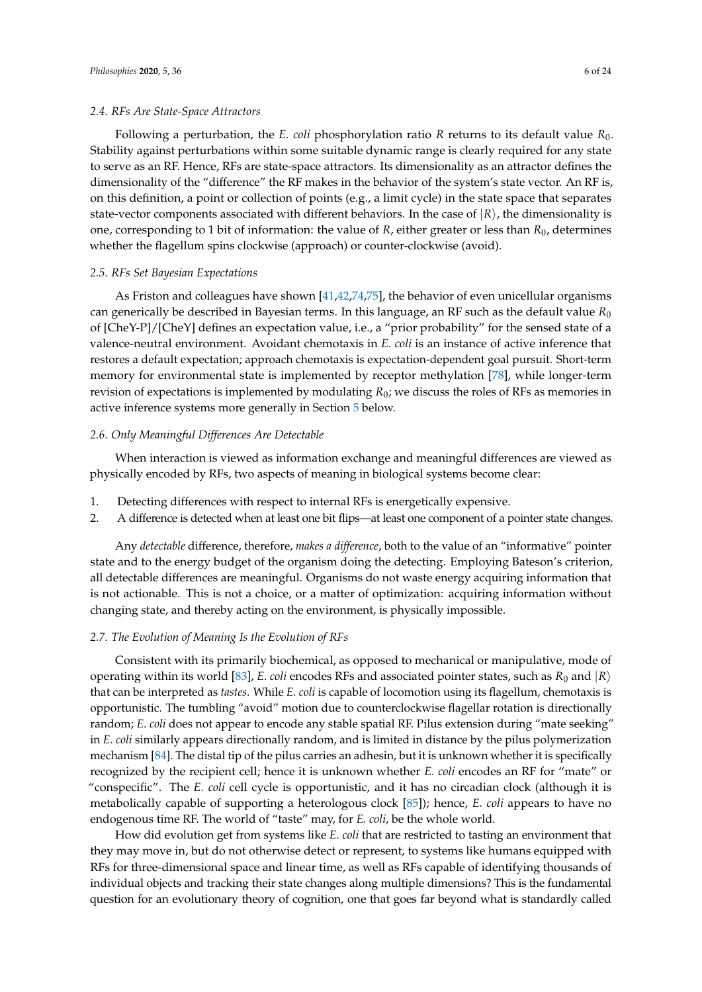Following a perturbation, the *E. coli* phosphorylation ratio *R* returns to its default value  $R_0$ . Stability against perturbations within some suitable dynamic range is clearly required for any state to serve as an RF. Hence, RFs are state-space attractors. Its dimensionality as an attractor defines the dimensionality of the "difference" the RF makes in the behavior of the system's state vector. An RF is, on this definition, a point or collection of points (e.g., a limit cycle) in the state space that separates state-vector components associated with different behaviors. In the case of  $|R\rangle$ , the dimensionality is

# *2.5. RFs Set Bayesian Expectations*

As Friston and colleagues have shown [\[41,](#page-17-3)[42,](#page-17-4)[74,](#page-18-3)[75\]](#page-18-4), the behavior of even unicellular organisms can generically be described in Bayesian terms. In this language, an RF such as the default value *R*<sup>0</sup> of [CheY-P]/[CheY] defines an expectation value, i.e., a "prior probability" for the sensed state of a valence-neutral environment. Avoidant chemotaxis in *E. coli* is an instance of active inference that restores a default expectation; approach chemotaxis is expectation-dependent goal pursuit. Short-term memory for environmental state is implemented by receptor methylation [\[78\]](#page-18-7), while longer-term revision of expectations is implemented by modulating *R*0; we discuss the roles of RFs as memories in active inference systems more generally in Section [5](#page-10-0) below.

one, corresponding to 1 bit of information: the value of *R*, either greater or less than *R*0, determines

## *2.6. Only Meaningful Differences Are Detectable*

When interaction is viewed as information exchange and meaningful differences are viewed as physically encoded by RFs, two aspects of meaning in biological systems become clear:

1. Detecting differences with respect to internal RFs is energetically expensive.

whether the flagellum spins clockwise (approach) or counter-clockwise (avoid).

2. A difference is detected when at least one bit flips—at least one component of a pointer state changes.

Any *detectable* difference, therefore, *makes a difference*, both to the value of an "informative" pointer state and to the energy budget of the organism doing the detecting. Employing Bateson's criterion, all detectable differences are meaningful. Organisms do not waste energy acquiring information that is not actionable. This is not a choice, or a matter of optimization: acquiring information without changing state, and thereby acting on the environment, is physically impossible.

# *2.7. The Evolution of Meaning Is the Evolution of RFs*

Consistent with its primarily biochemical, as opposed to mechanical or manipulative, mode of operating within its world [\[83\]](#page-18-12), *E. coli* encodes RFs and associated pointer states, such as  $R_0$  and  $|R\rangle$ that can be interpreted as *tastes*. While *E. coli* is capable of locomotion using its flagellum, chemotaxis is opportunistic. The tumbling "avoid" motion due to counterclockwise flagellar rotation is directionally random; *E. coli* does not appear to encode any stable spatial RF. Pilus extension during "mate seeking" in *E. coli* similarly appears directionally random, and is limited in distance by the pilus polymerization mechanism [\[84\]](#page-18-13). The distal tip of the pilus carries an adhesin, but it is unknown whether it is specifically recognized by the recipient cell; hence it is unknown whether *E. coli* encodes an RF for "mate" or "conspecific". The *E. coli* cell cycle is opportunistic, and it has no circadian clock (although it is metabolically capable of supporting a heterologous clock [\[85\]](#page-18-14)); hence, *E. coli* appears to have no endogenous time RF. The world of "taste" may, for *E. coli*, be the whole world.

How did evolution get from systems like *E. coli* that are restricted to tasting an environment that they may move in, but do not otherwise detect or represent, to systems like humans equipped with RFs for three-dimensional space and linear time, as well as RFs capable of identifying thousands of individual objects and tracking their state changes along multiple dimensions? This is the fundamental question for an evolutionary theory of cognition, one that goes far beyond what is standardly called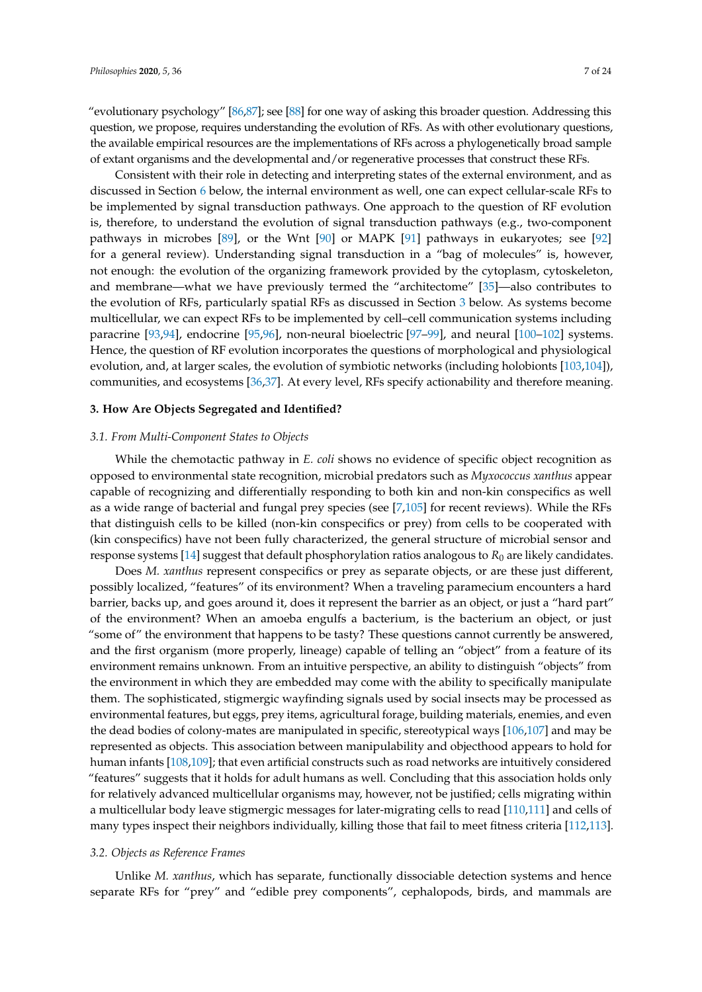"evolutionary psychology" [\[86,](#page-18-15)[87\]](#page-18-16); see [\[88\]](#page-18-17) for one way of asking this broader question. Addressing this question, we propose, requires understanding the evolution of RFs. As with other evolutionary questions, the available empirical resources are the implementations of RFs across a phylogenetically broad sample of extant organisms and the developmental and/or regenerative processes that construct these RFs.

Consistent with their role in detecting and interpreting states of the external environment, and as discussed in Section [6](#page-13-0) below, the internal environment as well, one can expect cellular-scale RFs to be implemented by signal transduction pathways. One approach to the question of RF evolution is, therefore, to understand the evolution of signal transduction pathways (e.g., two-component pathways in microbes [\[89\]](#page-18-18), or the Wnt [\[90\]](#page-18-19) or MAPK [\[91\]](#page-18-20) pathways in eukaryotes; see [\[92\]](#page-18-21) for a general review). Understanding signal transduction in a "bag of molecules" is, however, not enough: the evolution of the organizing framework provided by the cytoplasm, cytoskeleton, and membrane—what we have previously termed the "architectome" [\[35\]](#page-16-19)—also contributes to the evolution of RFs, particularly spatial RFs as discussed in Section [3](#page-6-0) below. As systems become multicellular, we can expect RFs to be implemented by cell–cell communication systems including paracrine [\[93,](#page-18-22)[94\]](#page-18-23), endocrine [\[95,](#page-18-24)[96\]](#page-18-25), non-neural bioelectric [\[97–](#page-19-0)[99\]](#page-19-1), and neural [\[100–](#page-19-2)[102\]](#page-19-3) systems. Hence, the question of RF evolution incorporates the questions of morphological and physiological evolution, and, at larger scales, the evolution of symbiotic networks (including holobionts [\[103](#page-19-4)[,104\]](#page-19-5)), communities, and ecosystems [\[36](#page-16-20)[,37\]](#page-16-21). At every level, RFs specify actionability and therefore meaning.

#### <span id="page-6-0"></span>**3. How Are Objects Segregated and Identified?**

#### *3.1. From Multi-Component States to Objects*

While the chemotactic pathway in *E. coli* shows no evidence of specific object recognition as opposed to environmental state recognition, microbial predators such as *Myxococcus xanthus* appear capable of recognizing and differentially responding to both kin and non-kin conspecifics as well as a wide range of bacterial and fungal prey species (see [\[7](#page-15-6)[,105\]](#page-19-6) for recent reviews). While the RFs that distinguish cells to be killed (non-kin conspecifics or prey) from cells to be cooperated with (kin conspecifics) have not been fully characterized, the general structure of microbial sensor and response systems [\[14\]](#page-16-6) suggest that default phosphorylation ratios analogous to  $R_0$  are likely candidates.

Does *M. xanthus* represent conspecifics or prey as separate objects, or are these just different, possibly localized, "features" of its environment? When a traveling paramecium encounters a hard barrier, backs up, and goes around it, does it represent the barrier as an object, or just a "hard part" of the environment? When an amoeba engulfs a bacterium, is the bacterium an object, or just "some of" the environment that happens to be tasty? These questions cannot currently be answered, and the first organism (more properly, lineage) capable of telling an "object" from a feature of its environment remains unknown. From an intuitive perspective, an ability to distinguish "objects" from the environment in which they are embedded may come with the ability to specifically manipulate them. The sophisticated, stigmergic wayfinding signals used by social insects may be processed as environmental features, but eggs, prey items, agricultural forage, building materials, enemies, and even the dead bodies of colony-mates are manipulated in specific, stereotypical ways [\[106,](#page-19-7)[107\]](#page-19-8) and may be represented as objects. This association between manipulability and objecthood appears to hold for human infants [\[108,](#page-19-9)[109\]](#page-19-10); that even artificial constructs such as road networks are intuitively considered "features" suggests that it holds for adult humans as well. Concluding that this association holds only for relatively advanced multicellular organisms may, however, not be justified; cells migrating within a multicellular body leave stigmergic messages for later-migrating cells to read [\[110](#page-19-11)[,111\]](#page-19-12) and cells of many types inspect their neighbors individually, killing those that fail to meet fitness criteria [\[112](#page-19-13)[,113\]](#page-19-14).

#### *3.2. Objects as Reference Frames*

Unlike *M. xanthus*, which has separate, functionally dissociable detection systems and hence separate RFs for "prey" and "edible prey components", cephalopods, birds, and mammals are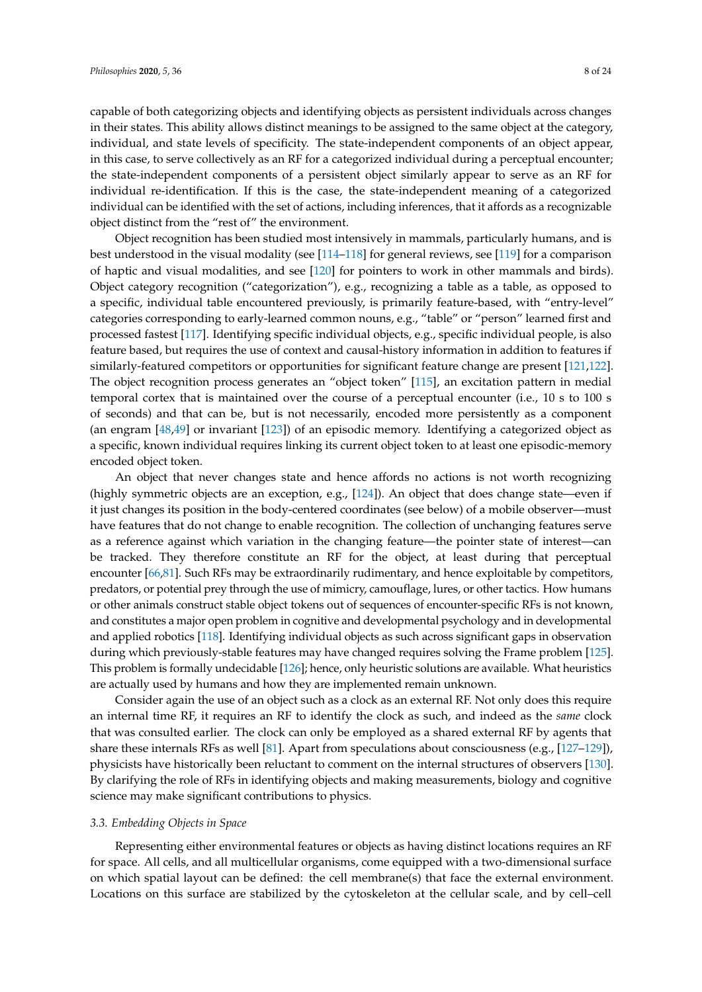capable of both categorizing objects and identifying objects as persistent individuals across changes in their states. This ability allows distinct meanings to be assigned to the same object at the category, individual, and state levels of specificity. The state-independent components of an object appear, in this case, to serve collectively as an RF for a categorized individual during a perceptual encounter; the state-independent components of a persistent object similarly appear to serve as an RF for individual re-identification. If this is the case, the state-independent meaning of a categorized individual can be identified with the set of actions, including inferences, that it affords as a recognizable object distinct from the "rest of" the environment.

Object recognition has been studied most intensively in mammals, particularly humans, and is best understood in the visual modality (see [\[114–](#page-19-15)[118\]](#page-19-16) for general reviews, see [\[119\]](#page-19-17) for a comparison of haptic and visual modalities, and see [\[120\]](#page-19-18) for pointers to work in other mammals and birds). Object category recognition ("categorization"), e.g., recognizing a table as a table, as opposed to a specific, individual table encountered previously, is primarily feature-based, with "entry-level" categories corresponding to early-learned common nouns, e.g., "table" or "person" learned first and processed fastest [\[117\]](#page-19-19). Identifying specific individual objects, e.g., specific individual people, is also feature based, but requires the use of context and causal-history information in addition to features if similarly-featured competitors or opportunities for significant feature change are present [\[121,](#page-19-20)[122\]](#page-19-21). The object recognition process generates an "object token" [\[115\]](#page-19-22), an excitation pattern in medial temporal cortex that is maintained over the course of a perceptual encounter (i.e., 10 s to 100 s of seconds) and that can be, but is not necessarily, encoded more persistently as a component (an engram [\[48,](#page-17-5)[49\]](#page-17-6) or invariant [\[123\]](#page-19-23)) of an episodic memory. Identifying a categorized object as a specific, known individual requires linking its current object token to at least one episodic-memory encoded object token.

An object that never changes state and hence affords no actions is not worth recognizing (highly symmetric objects are an exception, e.g., [\[124\]](#page-20-0)). An object that does change state—even if it just changes its position in the body-centered coordinates (see below) of a mobile observer—must have features that do not change to enable recognition. The collection of unchanging features serve as a reference against which variation in the changing feature—the pointer state of interest—can be tracked. They therefore constitute an RF for the object, at least during that perceptual encounter [\[66](#page-17-22)[,81\]](#page-18-10). Such RFs may be extraordinarily rudimentary, and hence exploitable by competitors, predators, or potential prey through the use of mimicry, camouflage, lures, or other tactics. How humans or other animals construct stable object tokens out of sequences of encounter-specific RFs is not known, and constitutes a major open problem in cognitive and developmental psychology and in developmental and applied robotics [\[118\]](#page-19-16). Identifying individual objects as such across significant gaps in observation during which previously-stable features may have changed requires solving the Frame problem [\[125\]](#page-20-1). This problem is formally undecidable [\[126\]](#page-20-2); hence, only heuristic solutions are available. What heuristics are actually used by humans and how they are implemented remain unknown.

Consider again the use of an object such as a clock as an external RF. Not only does this require an internal time RF, it requires an RF to identify the clock as such, and indeed as the *same* clock that was consulted earlier. The clock can only be employed as a shared external RF by agents that share these internals RFs as well [\[81\]](#page-18-10). Apart from speculations about consciousness (e.g., [\[127–](#page-20-3)[129\]](#page-20-4)), physicists have historically been reluctant to comment on the internal structures of observers [\[130\]](#page-20-5). By clarifying the role of RFs in identifying objects and making measurements, biology and cognitive science may make significant contributions to physics.

#### *3.3. Embedding Objects in Space*

Representing either environmental features or objects as having distinct locations requires an RF for space. All cells, and all multicellular organisms, come equipped with a two-dimensional surface on which spatial layout can be defined: the cell membrane(s) that face the external environment. Locations on this surface are stabilized by the cytoskeleton at the cellular scale, and by cell–cell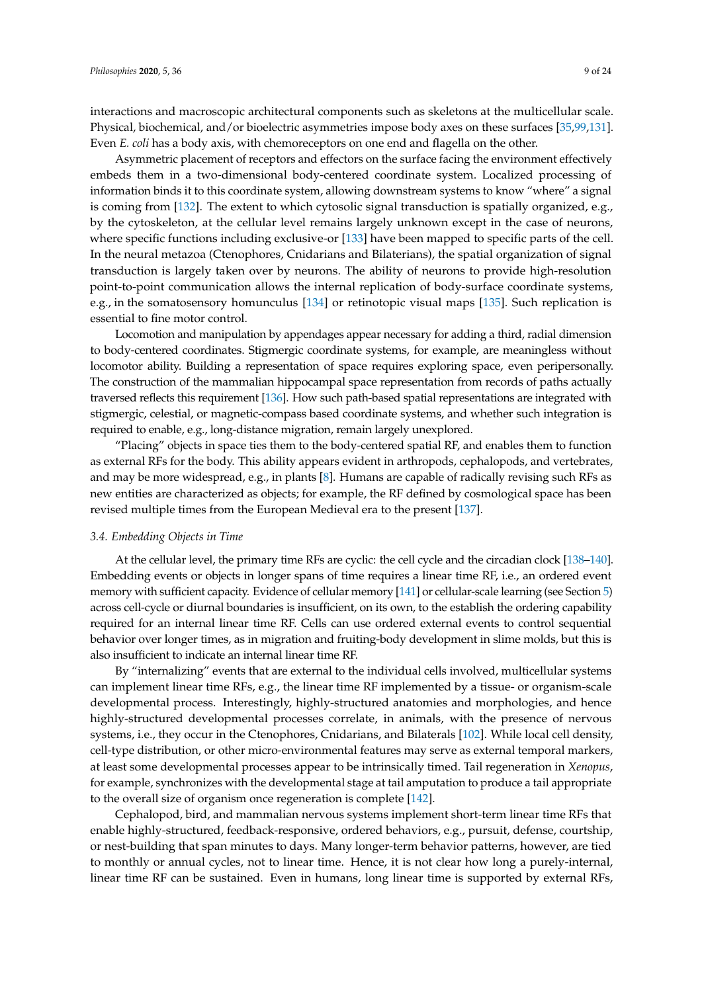interactions and macroscopic architectural components such as skeletons at the multicellular scale. Physical, biochemical, and/or bioelectric asymmetries impose body axes on these surfaces [\[35](#page-16-19)[,99](#page-19-1)[,131\]](#page-20-6). Even *E. coli* has a body axis, with chemoreceptors on one end and flagella on the other.

Asymmetric placement of receptors and effectors on the surface facing the environment effectively embeds them in a two-dimensional body-centered coordinate system. Localized processing of information binds it to this coordinate system, allowing downstream systems to know "where" a signal is coming from [\[132\]](#page-20-7). The extent to which cytosolic signal transduction is spatially organized, e.g., by the cytoskeleton, at the cellular level remains largely unknown except in the case of neurons, where specific functions including exclusive-or [\[133\]](#page-20-8) have been mapped to specific parts of the cell. In the neural metazoa (Ctenophores, Cnidarians and Bilaterians), the spatial organization of signal transduction is largely taken over by neurons. The ability of neurons to provide high-resolution point-to-point communication allows the internal replication of body-surface coordinate systems, e.g., in the somatosensory homunculus [\[134\]](#page-20-9) or retinotopic visual maps [\[135\]](#page-20-10). Such replication is essential to fine motor control.

Locomotion and manipulation by appendages appear necessary for adding a third, radial dimension to body-centered coordinates. Stigmergic coordinate systems, for example, are meaningless without locomotor ability. Building a representation of space requires exploring space, even peripersonally. The construction of the mammalian hippocampal space representation from records of paths actually traversed reflects this requirement [\[136\]](#page-20-11). How such path-based spatial representations are integrated with stigmergic, celestial, or magnetic-compass based coordinate systems, and whether such integration is required to enable, e.g., long-distance migration, remain largely unexplored.

"Placing" objects in space ties them to the body-centered spatial RF, and enables them to function as external RFs for the body. This ability appears evident in arthropods, cephalopods, and vertebrates, and may be more widespread, e.g., in plants [\[8\]](#page-15-7). Humans are capable of radically revising such RFs as new entities are characterized as objects; for example, the RF defined by cosmological space has been revised multiple times from the European Medieval era to the present [\[137\]](#page-20-12).

# *3.4. Embedding Objects in Time*

At the cellular level, the primary time RFs are cyclic: the cell cycle and the circadian clock [\[138](#page-20-13)[–140\]](#page-20-14). Embedding events or objects in longer spans of time requires a linear time RF, i.e., an ordered event memory with sufficient capacity. Evidence of cellular memory [\[141\]](#page-20-15) or cellular-scale learning (see Section [5\)](#page-10-0) across cell-cycle or diurnal boundaries is insufficient, on its own, to the establish the ordering capability required for an internal linear time RF. Cells can use ordered external events to control sequential behavior over longer times, as in migration and fruiting-body development in slime molds, but this is also insufficient to indicate an internal linear time RF.

By "internalizing" events that are external to the individual cells involved, multicellular systems can implement linear time RFs, e.g., the linear time RF implemented by a tissue- or organism-scale developmental process. Interestingly, highly-structured anatomies and morphologies, and hence highly-structured developmental processes correlate, in animals, with the presence of nervous systems, i.e., they occur in the Ctenophores, Cnidarians, and Bilaterals [\[102\]](#page-19-3). While local cell density, cell-type distribution, or other micro-environmental features may serve as external temporal markers, at least some developmental processes appear to be intrinsically timed. Tail regeneration in *Xenopus*, for example, synchronizes with the developmental stage at tail amputation to produce a tail appropriate to the overall size of organism once regeneration is complete [\[142\]](#page-20-16).

Cephalopod, bird, and mammalian nervous systems implement short-term linear time RFs that enable highly-structured, feedback-responsive, ordered behaviors, e.g., pursuit, defense, courtship, or nest-building that span minutes to days. Many longer-term behavior patterns, however, are tied to monthly or annual cycles, not to linear time. Hence, it is not clear how long a purely-internal, linear time RF can be sustained. Even in humans, long linear time is supported by external RFs,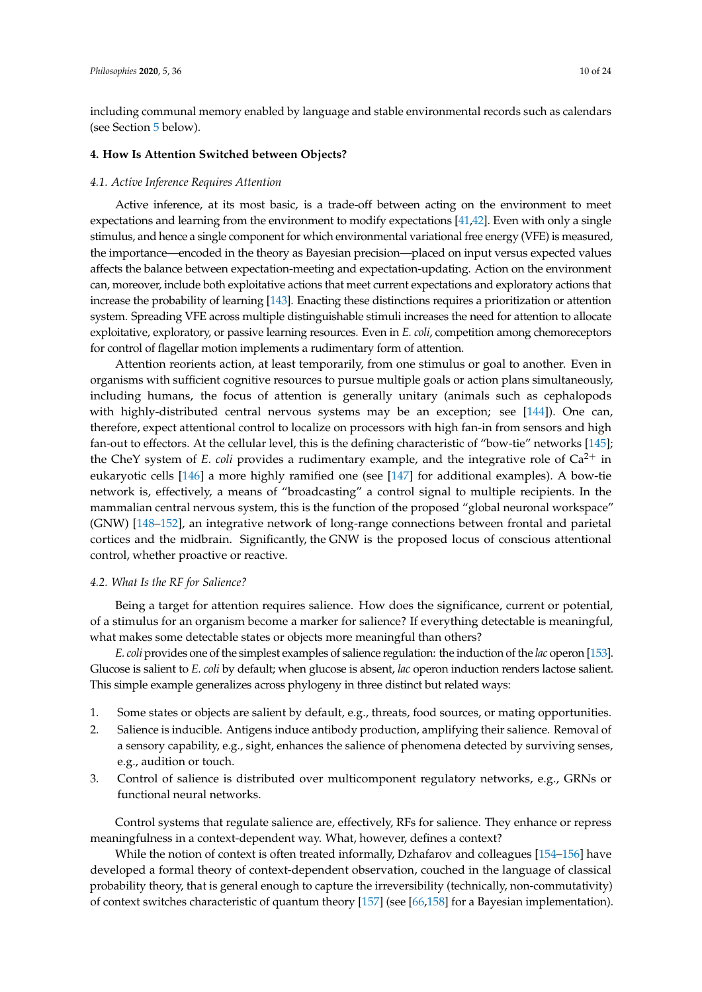including communal memory enabled by language and stable environmental records such as calendars (see Section [5](#page-10-0) below).

#### <span id="page-9-0"></span>**4. How Is Attention Switched between Objects?**

# *4.1. Active Inference Requires Attention*

Active inference, at its most basic, is a trade-off between acting on the environment to meet expectations and learning from the environment to modify expectations [\[41](#page-17-3)[,42\]](#page-17-4). Even with only a single stimulus, and hence a single component for which environmental variational free energy (VFE) is measured, the importance—encoded in the theory as Bayesian precision—placed on input versus expected values affects the balance between expectation-meeting and expectation-updating. Action on the environment can, moreover, include both exploitative actions that meet current expectations and exploratory actions that increase the probability of learning [\[143\]](#page-20-17). Enacting these distinctions requires a prioritization or attention system. Spreading VFE across multiple distinguishable stimuli increases the need for attention to allocate exploitative, exploratory, or passive learning resources. Even in *E. coli*, competition among chemoreceptors for control of flagellar motion implements a rudimentary form of attention.

Attention reorients action, at least temporarily, from one stimulus or goal to another. Even in organisms with sufficient cognitive resources to pursue multiple goals or action plans simultaneously, including humans, the focus of attention is generally unitary (animals such as cephalopods with highly-distributed central nervous systems may be an exception; see [\[144\]](#page-20-18)). One can, therefore, expect attentional control to localize on processors with high fan-in from sensors and high fan-out to effectors. At the cellular level, this is the defining characteristic of "bow-tie" networks [\[145\]](#page-20-19); the CheY system of *E. coli* provides a rudimentary example, and the integrative role of  $Ca^{2+}$  in eukaryotic cells [\[146\]](#page-20-20) a more highly ramified one (see [\[147\]](#page-20-21) for additional examples). A bow-tie network is, effectively, a means of "broadcasting" a control signal to multiple recipients. In the mammalian central nervous system, this is the function of the proposed "global neuronal workspace" (GNW) [\[148](#page-20-22)[–152\]](#page-21-0), an integrative network of long-range connections between frontal and parietal cortices and the midbrain. Significantly, the GNW is the proposed locus of conscious attentional control, whether proactive or reactive.

# *4.2. What Is the RF for Salience?*

Being a target for attention requires salience. How does the significance, current or potential, of a stimulus for an organism become a marker for salience? If everything detectable is meaningful, what makes some detectable states or objects more meaningful than others?

*E. coli* provides one of the simplest examples of salience regulation: the induction of the *lac* operon [\[153\]](#page-21-1). Glucose is salient to *E. coli* by default; when glucose is absent, *lac* operon induction renders lactose salient. This simple example generalizes across phylogeny in three distinct but related ways:

- 1. Some states or objects are salient by default, e.g., threats, food sources, or mating opportunities.
- 2. Salience is inducible. Antigens induce antibody production, amplifying their salience. Removal of a sensory capability, e.g., sight, enhances the salience of phenomena detected by surviving senses, e.g., audition or touch.
- 3. Control of salience is distributed over multicomponent regulatory networks, e.g., GRNs or functional neural networks.

Control systems that regulate salience are, effectively, RFs for salience. They enhance or repress meaningfulness in a context-dependent way. What, however, defines a context?

While the notion of context is often treated informally, Dzhafarov and colleagues [\[154–](#page-21-2)[156\]](#page-21-3) have developed a formal theory of context-dependent observation, couched in the language of classical probability theory, that is general enough to capture the irreversibility (technically, non-commutativity) of context switches characteristic of quantum theory [\[157\]](#page-21-4) (see [\[66](#page-17-22)[,158\]](#page-21-5) for a Bayesian implementation).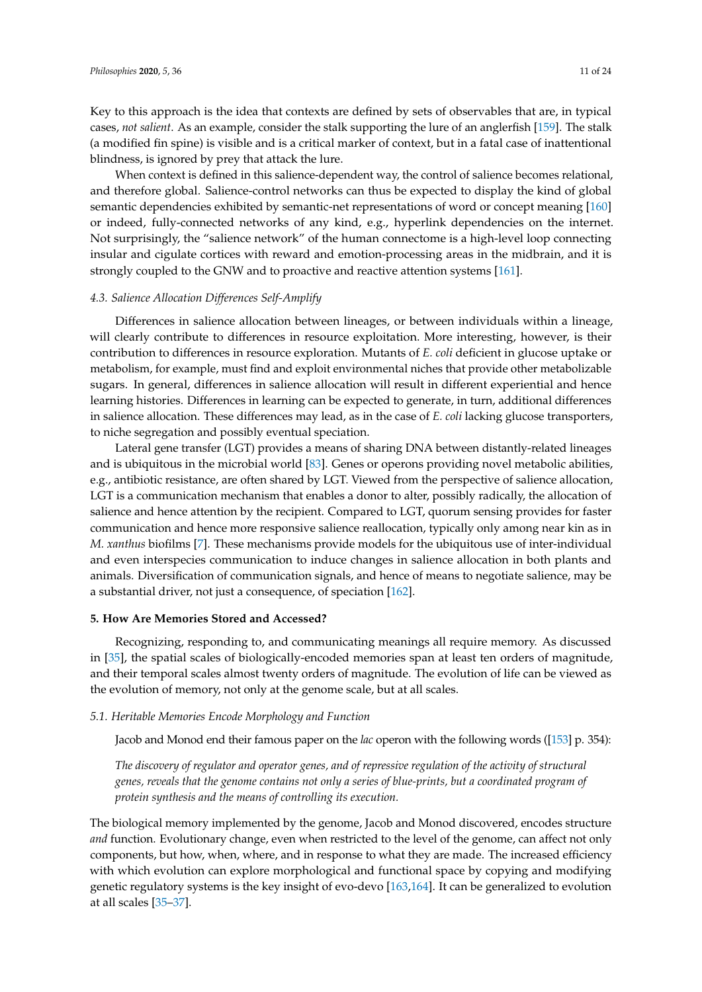Key to this approach is the idea that contexts are defined by sets of observables that are, in typical cases, *not salient*. As an example, consider the stalk supporting the lure of an anglerfish [\[159\]](#page-21-6). The stalk (a modified fin spine) is visible and is a critical marker of context, but in a fatal case of inattentional blindness, is ignored by prey that attack the lure.

When context is defined in this salience-dependent way, the control of salience becomes relational, and therefore global. Salience-control networks can thus be expected to display the kind of global semantic dependencies exhibited by semantic-net representations of word or concept meaning [\[160\]](#page-21-7) or indeed, fully-connected networks of any kind, e.g., hyperlink dependencies on the internet. Not surprisingly, the "salience network" of the human connectome is a high-level loop connecting insular and cigulate cortices with reward and emotion-processing areas in the midbrain, and it is strongly coupled to the GNW and to proactive and reactive attention systems [\[161\]](#page-21-8).

# *4.3. Salience Allocation Differences Self-Amplify*

Differences in salience allocation between lineages, or between individuals within a lineage, will clearly contribute to differences in resource exploitation. More interesting, however, is their contribution to differences in resource exploration. Mutants of *E. coli* deficient in glucose uptake or metabolism, for example, must find and exploit environmental niches that provide other metabolizable sugars. In general, differences in salience allocation will result in different experiential and hence learning histories. Differences in learning can be expected to generate, in turn, additional differences in salience allocation. These differences may lead, as in the case of *E. coli* lacking glucose transporters, to niche segregation and possibly eventual speciation.

Lateral gene transfer (LGT) provides a means of sharing DNA between distantly-related lineages and is ubiquitous in the microbial world [\[83\]](#page-18-12). Genes or operons providing novel metabolic abilities, e.g., antibiotic resistance, are often shared by LGT. Viewed from the perspective of salience allocation, LGT is a communication mechanism that enables a donor to alter, possibly radically, the allocation of salience and hence attention by the recipient. Compared to LGT, quorum sensing provides for faster communication and hence more responsive salience reallocation, typically only among near kin as in *M. xanthus* biofilms [\[7\]](#page-15-6). These mechanisms provide models for the ubiquitous use of inter-individual and even interspecies communication to induce changes in salience allocation in both plants and animals. Diversification of communication signals, and hence of means to negotiate salience, may be a substantial driver, not just a consequence, of speciation [\[162\]](#page-21-9).

# <span id="page-10-0"></span>**5. How Are Memories Stored and Accessed?**

Recognizing, responding to, and communicating meanings all require memory. As discussed in [\[35\]](#page-16-19), the spatial scales of biologically-encoded memories span at least ten orders of magnitude, and their temporal scales almost twenty orders of magnitude. The evolution of life can be viewed as the evolution of memory, not only at the genome scale, but at all scales.

#### *5.1. Heritable Memories Encode Morphology and Function*

Jacob and Monod end their famous paper on the *lac* operon with the following words ([\[153\]](#page-21-1) p. 354):

*The discovery of regulator and operator genes, and of repressive regulation of the activity of structural genes, reveals that the genome contains not only a series of blue-prints, but a coordinated program of protein synthesis and the means of controlling its execution.*

The biological memory implemented by the genome, Jacob and Monod discovered, encodes structure *and* function. Evolutionary change, even when restricted to the level of the genome, can affect not only components, but how, when, where, and in response to what they are made. The increased efficiency with which evolution can explore morphological and functional space by copying and modifying genetic regulatory systems is the key insight of evo-devo [\[163,](#page-21-10)[164\]](#page-21-11). It can be generalized to evolution at all scales [\[35–](#page-16-19)[37\]](#page-16-21).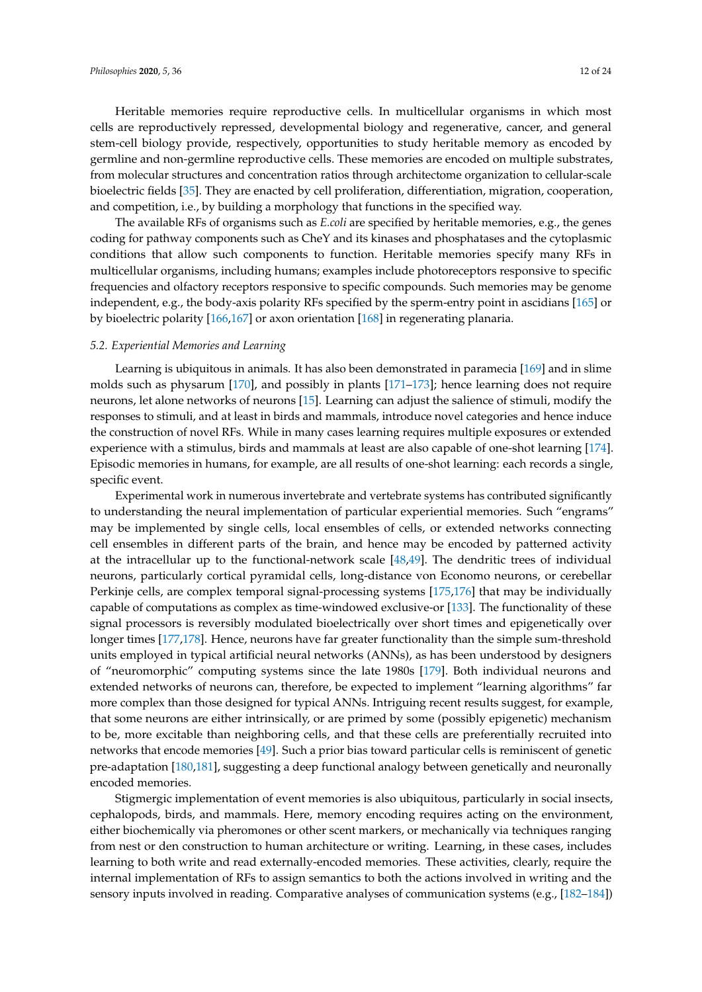Heritable memories require reproductive cells. In multicellular organisms in which most cells are reproductively repressed, developmental biology and regenerative, cancer, and general stem-cell biology provide, respectively, opportunities to study heritable memory as encoded by germline and non-germline reproductive cells. These memories are encoded on multiple substrates, from molecular structures and concentration ratios through architectome organization to cellular-scale bioelectric fields [\[35\]](#page-16-19). They are enacted by cell proliferation, differentiation, migration, cooperation, and competition, i.e., by building a morphology that functions in the specified way.

The available RFs of organisms such as *E.coli* are specified by heritable memories, e.g., the genes coding for pathway components such as CheY and its kinases and phosphatases and the cytoplasmic conditions that allow such components to function. Heritable memories specify many RFs in multicellular organisms, including humans; examples include photoreceptors responsive to specific frequencies and olfactory receptors responsive to specific compounds. Such memories may be genome independent, e.g., the body-axis polarity RFs specified by the sperm-entry point in ascidians [\[165\]](#page-21-12) or by bioelectric polarity [\[166](#page-21-13)[,167\]](#page-21-14) or axon orientation [\[168\]](#page-21-15) in regenerating planaria.

#### *5.2. Experiential Memories and Learning*

Learning is ubiquitous in animals. It has also been demonstrated in paramecia [\[169\]](#page-21-16) and in slime molds such as physarum [\[170\]](#page-21-17), and possibly in plants [\[171–](#page-21-18)[173\]](#page-21-19); hence learning does not require neurons, let alone networks of neurons [\[15\]](#page-16-1). Learning can adjust the salience of stimuli, modify the responses to stimuli, and at least in birds and mammals, introduce novel categories and hence induce the construction of novel RFs. While in many cases learning requires multiple exposures or extended experience with a stimulus, birds and mammals at least are also capable of one-shot learning [\[174\]](#page-21-20). Episodic memories in humans, for example, are all results of one-shot learning: each records a single, specific event.

Experimental work in numerous invertebrate and vertebrate systems has contributed significantly to understanding the neural implementation of particular experiential memories. Such "engrams" may be implemented by single cells, local ensembles of cells, or extended networks connecting cell ensembles in different parts of the brain, and hence may be encoded by patterned activity at the intracellular up to the functional-network scale [\[48](#page-17-5)[,49\]](#page-17-6). The dendritic trees of individual neurons, particularly cortical pyramidal cells, long-distance von Economo neurons, or cerebellar Perkinje cells, are complex temporal signal-processing systems [\[175](#page-21-21)[,176\]](#page-21-22) that may be individually capable of computations as complex as time-windowed exclusive-or [\[133\]](#page-20-8). The functionality of these signal processors is reversibly modulated bioelectrically over short times and epigenetically over longer times [\[177,](#page-22-0)[178\]](#page-22-1). Hence, neurons have far greater functionality than the simple sum-threshold units employed in typical artificial neural networks (ANNs), as has been understood by designers of "neuromorphic" computing systems since the late 1980s [\[179\]](#page-22-2). Both individual neurons and extended networks of neurons can, therefore, be expected to implement "learning algorithms" far more complex than those designed for typical ANNs. Intriguing recent results suggest, for example, that some neurons are either intrinsically, or are primed by some (possibly epigenetic) mechanism to be, more excitable than neighboring cells, and that these cells are preferentially recruited into networks that encode memories [\[49\]](#page-17-6). Such a prior bias toward particular cells is reminiscent of genetic pre-adaptation [\[180,](#page-22-3)[181\]](#page-22-4), suggesting a deep functional analogy between genetically and neuronally encoded memories.

Stigmergic implementation of event memories is also ubiquitous, particularly in social insects, cephalopods, birds, and mammals. Here, memory encoding requires acting on the environment, either biochemically via pheromones or other scent markers, or mechanically via techniques ranging from nest or den construction to human architecture or writing. Learning, in these cases, includes learning to both write and read externally-encoded memories. These activities, clearly, require the internal implementation of RFs to assign semantics to both the actions involved in writing and the sensory inputs involved in reading. Comparative analyses of communication systems (e.g., [\[182](#page-22-5)[–184\]](#page-22-6))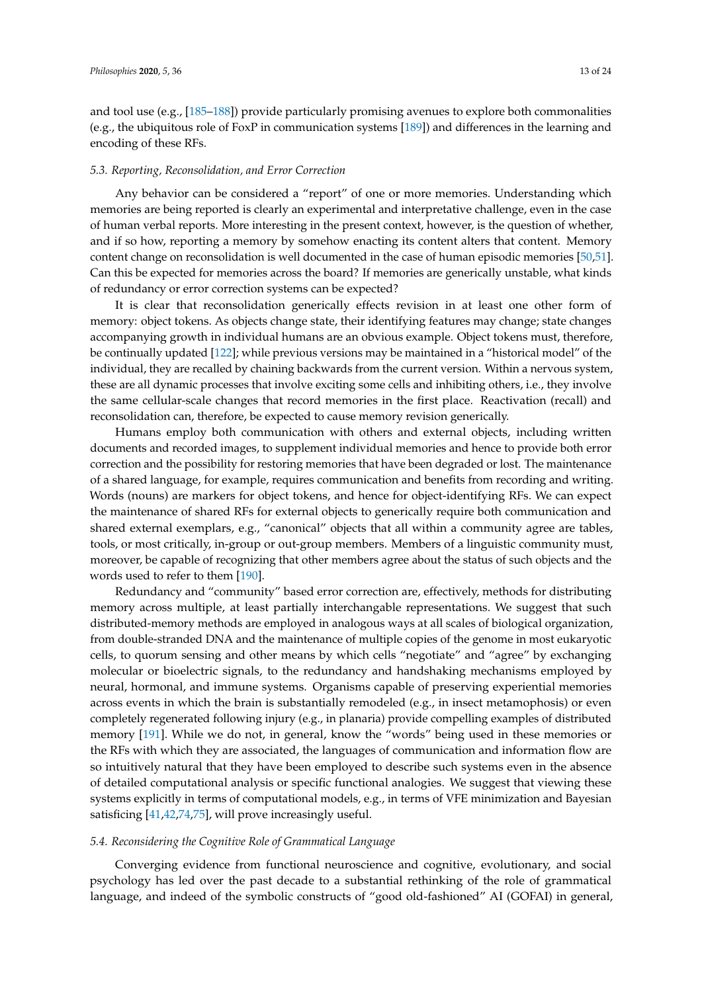and tool use (e.g., [\[185](#page-22-7)[–188\]](#page-22-8)) provide particularly promising avenues to explore both commonalities (e.g., the ubiquitous role of FoxP in communication systems [\[189\]](#page-22-9)) and differences in the learning and encoding of these RFs.

#### *5.3. Reporting, Reconsolidation, and Error Correction*

Any behavior can be considered a "report" of one or more memories. Understanding which memories are being reported is clearly an experimental and interpretative challenge, even in the case of human verbal reports. More interesting in the present context, however, is the question of whether, and if so how, reporting a memory by somehow enacting its content alters that content. Memory content change on reconsolidation is well documented in the case of human episodic memories [\[50](#page-17-7)[,51\]](#page-17-8). Can this be expected for memories across the board? If memories are generically unstable, what kinds of redundancy or error correction systems can be expected?

It is clear that reconsolidation generically effects revision in at least one other form of memory: object tokens. As objects change state, their identifying features may change; state changes accompanying growth in individual humans are an obvious example. Object tokens must, therefore, be continually updated [\[122\]](#page-19-21); while previous versions may be maintained in a "historical model" of the individual, they are recalled by chaining backwards from the current version. Within a nervous system, these are all dynamic processes that involve exciting some cells and inhibiting others, i.e., they involve the same cellular-scale changes that record memories in the first place. Reactivation (recall) and reconsolidation can, therefore, be expected to cause memory revision generically.

Humans employ both communication with others and external objects, including written documents and recorded images, to supplement individual memories and hence to provide both error correction and the possibility for restoring memories that have been degraded or lost. The maintenance of a shared language, for example, requires communication and benefits from recording and writing. Words (nouns) are markers for object tokens, and hence for object-identifying RFs. We can expect the maintenance of shared RFs for external objects to generically require both communication and shared external exemplars, e.g., "canonical" objects that all within a community agree are tables, tools, or most critically, in-group or out-group members. Members of a linguistic community must, moreover, be capable of recognizing that other members agree about the status of such objects and the words used to refer to them [\[190\]](#page-22-10).

Redundancy and "community" based error correction are, effectively, methods for distributing memory across multiple, at least partially interchangable representations. We suggest that such distributed-memory methods are employed in analogous ways at all scales of biological organization, from double-stranded DNA and the maintenance of multiple copies of the genome in most eukaryotic cells, to quorum sensing and other means by which cells "negotiate" and "agree" by exchanging molecular or bioelectric signals, to the redundancy and handshaking mechanisms employed by neural, hormonal, and immune systems. Organisms capable of preserving experiential memories across events in which the brain is substantially remodeled (e.g., in insect metamophosis) or even completely regenerated following injury (e.g., in planaria) provide compelling examples of distributed memory [\[191\]](#page-22-11). While we do not, in general, know the "words" being used in these memories or the RFs with which they are associated, the languages of communication and information flow are so intuitively natural that they have been employed to describe such systems even in the absence of detailed computational analysis or specific functional analogies. We suggest that viewing these systems explicitly in terms of computational models, e.g., in terms of VFE minimization and Bayesian satisficing [\[41,](#page-17-3)[42,](#page-17-4)[74](#page-18-3)[,75\]](#page-18-4), will prove increasingly useful.

# *5.4. Reconsidering the Cognitive Role of Grammatical Language*

Converging evidence from functional neuroscience and cognitive, evolutionary, and social psychology has led over the past decade to a substantial rethinking of the role of grammatical language, and indeed of the symbolic constructs of "good old-fashioned" AI (GOFAI) in general,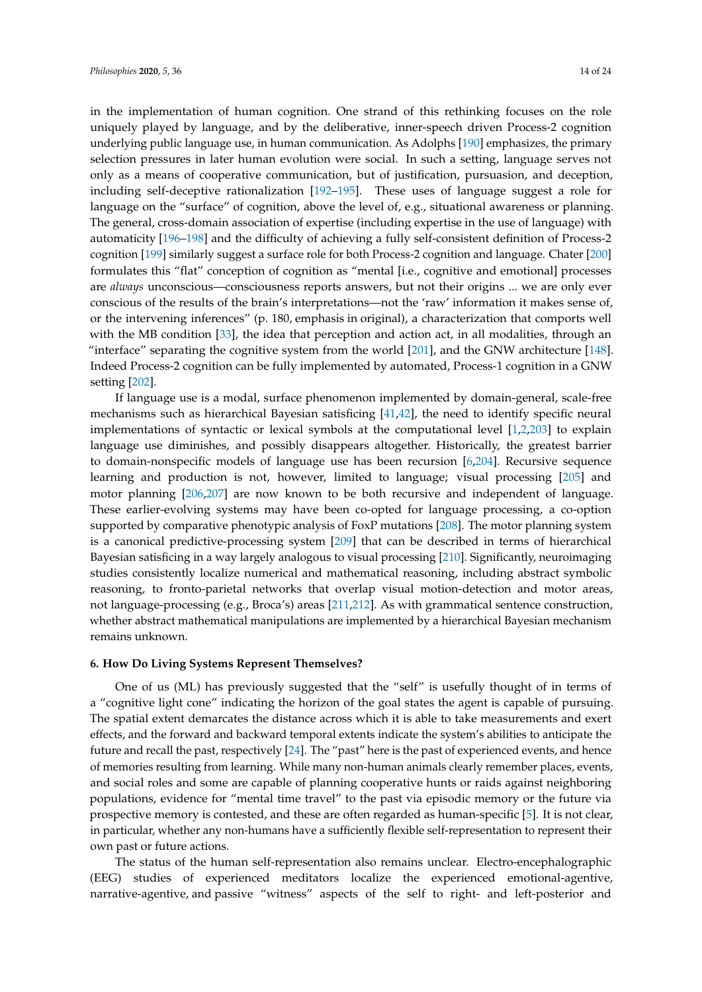in the implementation of human cognition. One strand of this rethinking focuses on the role uniquely played by language, and by the deliberative, inner-speech driven Process-2 cognition underlying public language use, in human communication. As Adolphs [\[190\]](#page-22-10) emphasizes, the primary selection pressures in later human evolution were social. In such a setting, language serves not only as a means of cooperative communication, but of justification, pursuasion, and deception, including self-deceptive rationalization [\[192](#page-22-12)[–195\]](#page-22-13). These uses of language suggest a role for language on the "surface" of cognition, above the level of, e.g., situational awareness or planning. The general, cross-domain association of expertise (including expertise in the use of language) with automaticity [\[196–](#page-22-14)[198\]](#page-22-15) and the difficulty of achieving a fully self-consistent definition of Process-2 cognition [\[199\]](#page-22-16) similarly suggest a surface role for both Process-2 cognition and language. Chater [\[200\]](#page-22-17) formulates this "flat" conception of cognition as "mental [i.e., cognitive and emotional] processes are *always* unconscious—consciousness reports answers, but not their origins ... we are only ever conscious of the results of the brain's interpretations—not the 'raw' information it makes sense of, or the intervening inferences" (p. 180, emphasis in original), a characterization that comports well with the MB condition [\[33\]](#page-16-17), the idea that perception and action act, in all modalities, through an "interface" separating the cognitive system from the world [\[201\]](#page-22-18), and the GNW architecture [\[148\]](#page-20-22). Indeed Process-2 cognition can be fully implemented by automated, Process-1 cognition in a GNW setting [\[202\]](#page-22-19).

If language use is a modal, surface phenomenon implemented by domain-general, scale-free mechanisms such as hierarchical Bayesian satisficing [\[41,](#page-17-3)[42\]](#page-17-4), the need to identify specific neural implementations of syntactic or lexical symbols at the computational level [\[1](#page-15-0)[,2](#page-15-1)[,203\]](#page-22-20) to explain language use diminishes, and possibly disappears altogether. Historically, the greatest barrier to domain-nonspecific models of language use has been recursion [\[6](#page-15-5)[,204\]](#page-22-21). Recursive sequence learning and production is not, however, limited to language; visual processing [\[205\]](#page-22-22) and motor planning [\[206](#page-23-0)[,207\]](#page-23-1) are now known to be both recursive and independent of language. These earlier-evolving systems may have been co-opted for language processing, a co-option supported by comparative phenotypic analysis of FoxP mutations [\[208\]](#page-23-2). The motor planning system is a canonical predictive-processing system [\[209\]](#page-23-3) that can be described in terms of hierarchical Bayesian satisficing in a way largely analogous to visual processing [\[210\]](#page-23-4). Significantly, neuroimaging studies consistently localize numerical and mathematical reasoning, including abstract symbolic reasoning, to fronto-parietal networks that overlap visual motion-detection and motor areas, not language-processing (e.g., Broca's) areas [\[211](#page-23-5)[,212\]](#page-23-6). As with grammatical sentence construction, whether abstract mathematical manipulations are implemented by a hierarchical Bayesian mechanism remains unknown.

# <span id="page-13-0"></span>**6. How Do Living Systems Represent Themselves?**

One of us (ML) has previously suggested that the "self" is usefully thought of in terms of a "cognitive light cone" indicating the horizon of the goal states the agent is capable of pursuing. The spatial extent demarcates the distance across which it is able to take measurements and exert effects, and the forward and backward temporal extents indicate the system's abilities to anticipate the future and recall the past, respectively [\[24\]](#page-16-8). The "past" here is the past of experienced events, and hence of memories resulting from learning. While many non-human animals clearly remember places, events, and social roles and some are capable of planning cooperative hunts or raids against neighboring populations, evidence for "mental time travel" to the past via episodic memory or the future via prospective memory is contested, and these are often regarded as human-specific [\[5\]](#page-15-4). It is not clear, in particular, whether any non-humans have a sufficiently flexible self-representation to represent their own past or future actions.

The status of the human self-representation also remains unclear. Electro-encephalographic (EEG) studies of experienced meditators localize the experienced emotional-agentive, narrative-agentive, and passive "witness" aspects of the self to right- and left-posterior and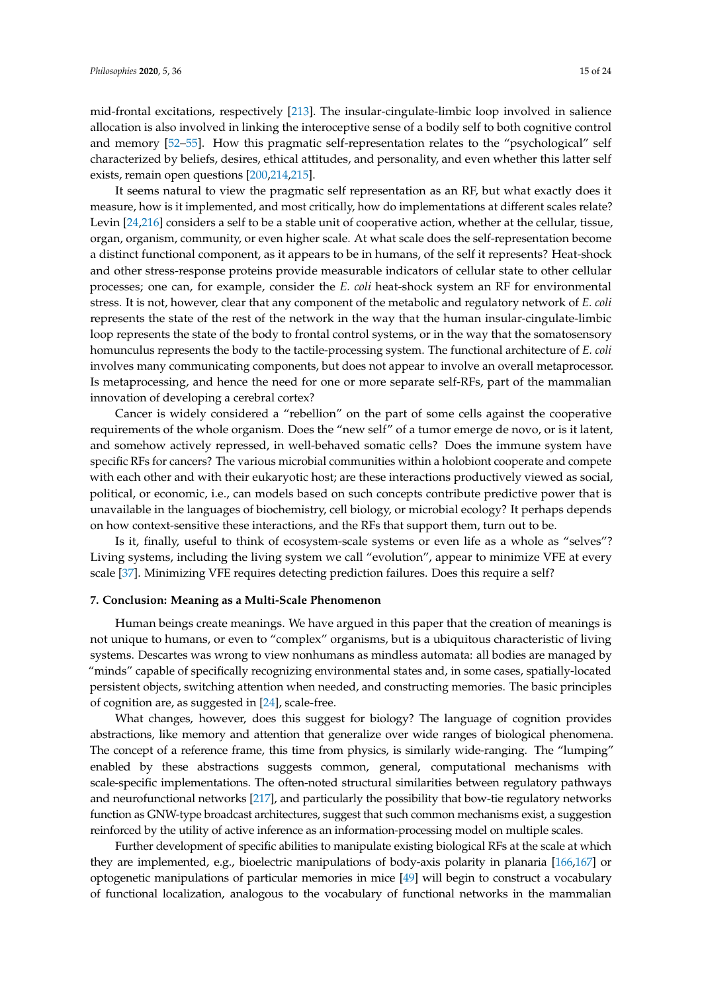mid-frontal excitations, respectively [\[213\]](#page-23-7). The insular-cingulate-limbic loop involved in salience allocation is also involved in linking the interoceptive sense of a bodily self to both cognitive control and memory [\[52–](#page-17-9)[55\]](#page-17-10). How this pragmatic self-representation relates to the "psychological" self characterized by beliefs, desires, ethical attitudes, and personality, and even whether this latter self exists, remain open questions [\[200](#page-22-17)[,214](#page-23-8)[,215\]](#page-23-9).

It seems natural to view the pragmatic self representation as an RF, but what exactly does it measure, how is it implemented, and most critically, how do implementations at different scales relate? Levin [\[24,](#page-16-8)[216\]](#page-23-10) considers a self to be a stable unit of cooperative action, whether at the cellular, tissue, organ, organism, community, or even higher scale. At what scale does the self-representation become a distinct functional component, as it appears to be in humans, of the self it represents? Heat-shock and other stress-response proteins provide measurable indicators of cellular state to other cellular processes; one can, for example, consider the *E. coli* heat-shock system an RF for environmental stress. It is not, however, clear that any component of the metabolic and regulatory network of *E. coli* represents the state of the rest of the network in the way that the human insular-cingulate-limbic loop represents the state of the body to frontal control systems, or in the way that the somatosensory homunculus represents the body to the tactile-processing system. The functional architecture of *E. coli* involves many communicating components, but does not appear to involve an overall metaprocessor. Is metaprocessing, and hence the need for one or more separate self-RFs, part of the mammalian innovation of developing a cerebral cortex?

Cancer is widely considered a "rebellion" on the part of some cells against the cooperative requirements of the whole organism. Does the "new self" of a tumor emerge de novo, or is it latent, and somehow actively repressed, in well-behaved somatic cells? Does the immune system have specific RFs for cancers? The various microbial communities within a holobiont cooperate and compete with each other and with their eukaryotic host; are these interactions productively viewed as social, political, or economic, i.e., can models based on such concepts contribute predictive power that is unavailable in the languages of biochemistry, cell biology, or microbial ecology? It perhaps depends on how context-sensitive these interactions, and the RFs that support them, turn out to be.

Is it, finally, useful to think of ecosystem-scale systems or even life as a whole as "selves"? Living systems, including the living system we call "evolution", appear to minimize VFE at every scale [\[37\]](#page-16-21). Minimizing VFE requires detecting prediction failures. Does this require a self?

#### <span id="page-14-0"></span>**7. Conclusion: Meaning as a Multi-Scale Phenomenon**

Human beings create meanings. We have argued in this paper that the creation of meanings is not unique to humans, or even to "complex" organisms, but is a ubiquitous characteristic of living systems. Descartes was wrong to view nonhumans as mindless automata: all bodies are managed by "minds" capable of specifically recognizing environmental states and, in some cases, spatially-located persistent objects, switching attention when needed, and constructing memories. The basic principles of cognition are, as suggested in [\[24\]](#page-16-8), scale-free.

What changes, however, does this suggest for biology? The language of cognition provides abstractions, like memory and attention that generalize over wide ranges of biological phenomena. The concept of a reference frame, this time from physics, is similarly wide-ranging. The "lumping" enabled by these abstractions suggests common, general, computational mechanisms with scale-specific implementations. The often-noted structural similarities between regulatory pathways and neurofunctional networks [\[217\]](#page-23-11), and particularly the possibility that bow-tie regulatory networks function as GNW-type broadcast architectures, suggest that such common mechanisms exist, a suggestion reinforced by the utility of active inference as an information-processing model on multiple scales.

Further development of specific abilities to manipulate existing biological RFs at the scale at which they are implemented, e.g., bioelectric manipulations of body-axis polarity in planaria [\[166,](#page-21-13)[167\]](#page-21-14) or optogenetic manipulations of particular memories in mice [\[49\]](#page-17-6) will begin to construct a vocabulary of functional localization, analogous to the vocabulary of functional networks in the mammalian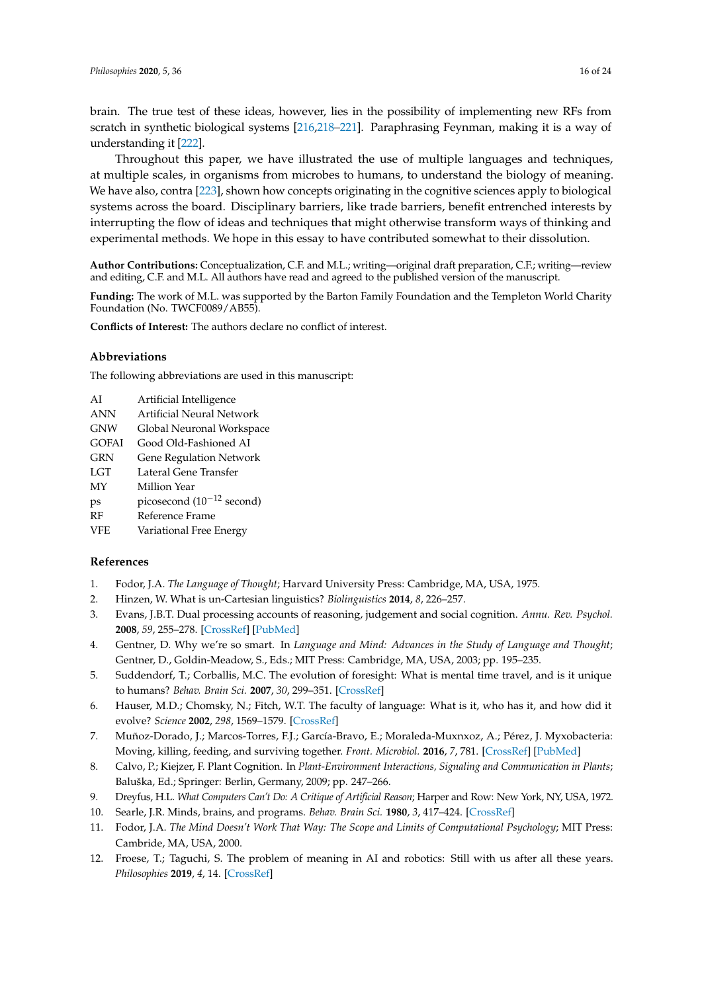brain. The true test of these ideas, however, lies in the possibility of implementing new RFs from scratch in synthetic biological systems [\[216,](#page-23-10)[218–](#page-23-12)[221\]](#page-23-13). Paraphrasing Feynman, making it is a way of understanding it [\[222\]](#page-23-14).

Throughout this paper, we have illustrated the use of multiple languages and techniques, at multiple scales, in organisms from microbes to humans, to understand the biology of meaning. We have also, contra [\[223\]](#page-23-15), shown how concepts originating in the cognitive sciences apply to biological systems across the board. Disciplinary barriers, like trade barriers, benefit entrenched interests by interrupting the flow of ideas and techniques that might otherwise transform ways of thinking and experimental methods. We hope in this essay to have contributed somewhat to their dissolution.

**Author Contributions:** Conceptualization, C.F. and M.L.; writing—original draft preparation, C.F.; writing—review and editing, C.F. and M.L. All authors have read and agreed to the published version of the manuscript.

**Funding:** The work of M.L. was supported by the Barton Family Foundation and the Templeton World Charity Foundation (No. TWCF0089/AB55).

**Conflicts of Interest:** The authors declare no conflict of interest.

# **Abbreviations**

The following abbreviations are used in this manuscript:

| AI           | Artificial Intelligence                                                                                               |
|--------------|-----------------------------------------------------------------------------------------------------------------------|
| <b>ANN</b>   | <b>Artificial Neural Network</b>                                                                                      |
| <b>GNW</b>   | Global Neuronal Workspace                                                                                             |
| <b>GOFAI</b> | Good Old-Fashioned AI                                                                                                 |
| <b>GRN</b>   | Gene Regulation Network                                                                                               |
| ™∩ ⊤         | $\mathbf{r}$ . $\mathbf{r}$ . $\mathbf{r}$ . $\mathbf{r}$ . $\mathbf{r}$ . $\mathbf{r}$ . $\mathbf{r}$ . $\mathbf{r}$ |

- LGT Lateral Gene Transfer
- MY Million Year
- ps picosecond  $(10^{-12} \text{ second})$
- RF Reference Frame
- VFE Variational Free Energy

# **References**

- <span id="page-15-0"></span>1. Fodor, J.A. *The Language of Thought*; Harvard University Press: Cambridge, MA, USA, 1975.
- <span id="page-15-1"></span>2. Hinzen, W. What is un-Cartesian linguistics? *Biolinguistics* **2014**, *8*, 226–257.
- <span id="page-15-2"></span>3. Evans, J.B.T. Dual processing accounts of reasoning, judgement and social cognition. *Annu. Rev. Psychol.* **2008**, *59*, 255–278. [\[CrossRef\]](http://dx.doi.org/10.1146/annurev.psych.59.103006.093629) [\[PubMed\]](http://www.ncbi.nlm.nih.gov/pubmed/18154502)
- <span id="page-15-3"></span>4. Gentner, D. Why we're so smart. In *Language and Mind: Advances in the Study of Language and Thought*; Gentner, D., Goldin-Meadow, S., Eds.; MIT Press: Cambridge, MA, USA, 2003; pp. 195–235.
- <span id="page-15-4"></span>5. Suddendorf, T.; Corballis, M.C. The evolution of foresight: What is mental time travel, and is it unique to humans? *Behav. Brain Sci.* **2007**, *30*, 299–351. [\[CrossRef\]](http://dx.doi.org/10.1017/S0140525X07001975)
- <span id="page-15-5"></span>6. Hauser, M.D.; Chomsky, N.; Fitch, W.T. The faculty of language: What is it, who has it, and how did it evolve? *Science* **2002**, *298*, 1569–1579. [\[CrossRef\]](http://dx.doi.org/10.1126/science.298.5598.1569)
- <span id="page-15-6"></span>7. Muñoz-Dorado, J.; Marcos-Torres, F.J.; García-Bravo, E.; Moraleda-Muxnxoz, A.; Pérez, J. Myxobacteria: Moving, killing, feeding, and surviving together. *Front. Microbiol.* **2016**, *7*, 781. [\[CrossRef\]](http://dx.doi.org/10.3389/fmicb.2016.00781) [\[PubMed\]](http://www.ncbi.nlm.nih.gov/pubmed/27303375)
- <span id="page-15-7"></span>8. Calvo, P.; Kiejzer, F. Plant Cognition. In *Plant-Environment Interactions, Signaling and Communication in Plants*; Baluška, Ed.; Springer: Berlin, Germany, 2009; pp. 247–266.
- <span id="page-15-8"></span>9. Dreyfus, H.L. *What Computers Can't Do: A Critique of Artificial Reason*; Harper and Row: New York, NY, USA, 1972.
- 10. Searle, J.R. Minds, brains, and programs. *Behav. Brain Sci.* **1980**, *3*, 417–424. [\[CrossRef\]](http://dx.doi.org/10.1017/S0140525X00005756)
- 11. Fodor, J.A. *The Mind Doesn't Work That Way: The Scope and Limits of Computational Psychology*; MIT Press: Cambride, MA, USA, 2000.
- <span id="page-15-9"></span>12. Froese, T.; Taguchi, S. The problem of meaning in AI and robotics: Still with us after all these years. *Philosophies* **2019**, *4*, 14. [\[CrossRef\]](http://dx.doi.org/10.3390/philosophies4020014)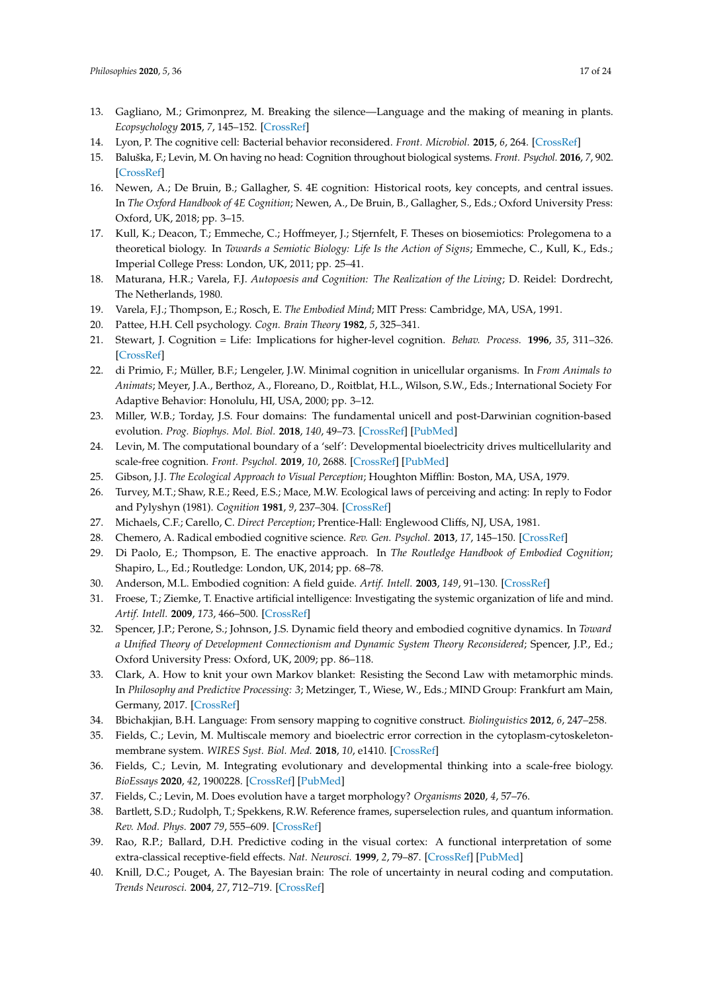- <span id="page-16-0"></span>13. Gagliano, M.; Grimonprez, M. Breaking the silence—Language and the making of meaning in plants. *Ecopsychology* **2015**, *7*, 145–152. [\[CrossRef\]](http://dx.doi.org/10.1089/eco.2015.0023)
- <span id="page-16-6"></span>14. Lyon, P. The cognitive cell: Bacterial behavior reconsidered. *Front. Microbiol.* **2015**, *6*, 264. [\[CrossRef\]](http://dx.doi.org/10.3389/fmicb.2015.00264)
- <span id="page-16-1"></span>15. Baluška, F.; Levin, M. On having no head: Cognition throughout biological systems. *Front. Psychol.* **2016**, *7*, 902. [\[CrossRef\]](http://dx.doi.org/10.3389/fpsyg.2016.00902)
- <span id="page-16-2"></span>16. Newen, A.; De Bruin, B.; Gallagher, S. 4E cognition: Historical roots, key concepts, and central issues. In *The Oxford Handbook of 4E Cognition*; Newen, A., De Bruin, B., Gallagher, S., Eds.; Oxford University Press: Oxford, UK, 2018; pp. 3–15.
- <span id="page-16-3"></span>17. Kull, K.; Deacon, T.; Emmeche, C.; Hoffmeyer, J.; Stjernfelt, F. Theses on biosemiotics: Prolegomena to a theoretical biology. In *Towards a Semiotic Biology: Life Is the Action of Signs*; Emmeche, C., Kull, K., Eds.; Imperial College Press: London, UK, 2011; pp. 25–41.
- <span id="page-16-4"></span>18. Maturana, H.R.; Varela, F.J. *Autopoesis and Cognition: The Realization of the Living*; D. Reidel: Dordrecht, The Netherlands, 1980.
- <span id="page-16-5"></span>19. Varela, F.J.; Thompson, E.; Rosch, E. *The Embodied Mind*; MIT Press: Cambridge, MA, USA, 1991.
- <span id="page-16-7"></span>20. Pattee, H.H. Cell psychology. *Cogn. Brain Theory* **1982**, *5*, 325–341.
- 21. Stewart, J. Cognition = Life: Implications for higher-level cognition. *Behav. Process.* **1996**, *35*, 311–326. [\[CrossRef\]](http://dx.doi.org/10.1016/0376-6357(95)00046-1)
- 22. di Primio, F.; Müller, B.F.; Lengeler, J.W. Minimal cognition in unicellular organisms. In *From Animals to Animats*; Meyer, J.A., Berthoz, A., Floreano, D., Roitblat, H.L., Wilson, S.W., Eds.; International Society For Adaptive Behavior: Honolulu, HI, USA, 2000; pp. 3–12.
- 23. Miller, W.B.; Torday, J.S. Four domains: The fundamental unicell and post-Darwinian cognition-based evolution. *Prog. Biophys. Mol. Biol.* **2018**, *140*, 49–73. [\[CrossRef\]](http://dx.doi.org/10.1016/j.pbiomolbio.2018.04.006) [\[PubMed\]](http://www.ncbi.nlm.nih.gov/pubmed/29685747)
- <span id="page-16-8"></span>24. Levin, M. The computational boundary of a 'self': Developmental bioelectricity drives multicellularity and scale-free cognition. *Front. Psychol.* **2019**, *10*, 2688. [\[CrossRef\]](http://dx.doi.org/10.3389/fpsyg.2019.02688) [\[PubMed\]](http://www.ncbi.nlm.nih.gov/pubmed/31920779)
- <span id="page-16-9"></span>25. Gibson, J.J. *The Ecological Approach to Visual Perception*; Houghton Mifflin: Boston, MA, USA, 1979.
- <span id="page-16-10"></span>26. Turvey, M.T.; Shaw, R.E.; Reed, E.S.; Mace, M.W. Ecological laws of perceiving and acting: In reply to Fodor and Pylyshyn (1981). *Cognition* **1981**, *9*, 237–304. [\[CrossRef\]](http://dx.doi.org/10.1016/0010-0277(81)90002-0)
- <span id="page-16-11"></span>27. Michaels, C.F.; Carello, C. *Direct Perception*; Prentice-Hall: Englewood Cliffs, NJ, USA, 1981.
- <span id="page-16-12"></span>28. Chemero, A. Radical embodied cognitive science. *Rev. Gen. Psychol.* **2013**, *17*, 145–150. [\[CrossRef\]](http://dx.doi.org/10.1037/a0032923)
- <span id="page-16-13"></span>29. Di Paolo, E.; Thompson, E. The enactive approach. In *The Routledge Handbook of Embodied Cognition*; Shapiro, L., Ed.; Routledge: London, UK, 2014; pp. 68–78.
- <span id="page-16-14"></span>30. Anderson, M.L. Embodied cognition: A field guide. *Artif. Intell.* **2003**, *149*, 91–130. [\[CrossRef\]](http://dx.doi.org/10.1016/S0004-3702(03)00054-7)
- <span id="page-16-15"></span>31. Froese, T.; Ziemke, T. Enactive artificial intelligence: Investigating the systemic organization of life and mind. *Artif. Intell.* **2009**, *173*, 466–500. [\[CrossRef\]](http://dx.doi.org/10.1016/j.artint.2008.12.001)
- <span id="page-16-16"></span>32. Spencer, J.P.; Perone, S.; Johnson, J.S. Dynamic field theory and embodied cognitive dynamics. In *Toward a Unified Theory of Development Connectionism and Dynamic System Theory Reconsidered*; Spencer, J.P., Ed.; Oxford University Press: Oxford, UK, 2009; pp. 86–118.
- <span id="page-16-17"></span>33. Clark, A. How to knit your own Markov blanket: Resisting the Second Law with metamorphic minds. In *Philosophy and Predictive Processing: 3*; Metzinger, T., Wiese, W., Eds.; MIND Group: Frankfurt am Main, Germany, 2017. [\[CrossRef\]](http://dx.doi.org/10.15502/9783958573031)
- <span id="page-16-18"></span>34. Bbichakjian, B.H. Language: From sensory mapping to cognitive construct. *Biolinguistics* **2012**, *6*, 247–258.
- <span id="page-16-19"></span>35. Fields, C.; Levin, M. Multiscale memory and bioelectric error correction in the cytoplasm-cytoskeletonmembrane system. *WIRES Syst. Biol. Med.* **2018**, *10*, e1410. [\[CrossRef\]](http://dx.doi.org/10.1002/wsbm.1410)
- <span id="page-16-20"></span>36. Fields, C.; Levin, M. Integrating evolutionary and developmental thinking into a scale-free biology. *BioEssays* **2020**, *42*, 1900228. [\[CrossRef\]](http://dx.doi.org/10.1002/bies.201900228) [\[PubMed\]](http://www.ncbi.nlm.nih.gov/pubmed/32537770)
- <span id="page-16-21"></span>37. Fields, C.; Levin, M. Does evolution have a target morphology? *Organisms* **2020**, *4*, 57–76.
- <span id="page-16-22"></span>38. Bartlett, S.D.; Rudolph, T.; Spekkens, R.W. Reference frames, superselection rules, and quantum information. *Rev. Mod. Phys.* **2007** *79*, 555–609. [\[CrossRef\]](http://dx.doi.org/10.1103/RevModPhys.79.555)
- <span id="page-16-23"></span>39. Rao, R.P.; Ballard, D.H. Predictive coding in the visual cortex: A functional interpretation of some extra-classical receptive-field effects. *Nat. Neurosci.* **1999**, *2*, 79–87. [\[CrossRef\]](http://dx.doi.org/10.1038/4580) [\[PubMed\]](http://www.ncbi.nlm.nih.gov/pubmed/10195184)
- 40. Knill, D.C.; Pouget, A. The Bayesian brain: The role of uncertainty in neural coding and computation. *Trends Neurosci.* **2004**, *27*, 712–719. [\[CrossRef\]](http://dx.doi.org/10.1016/j.tins.2004.10.007)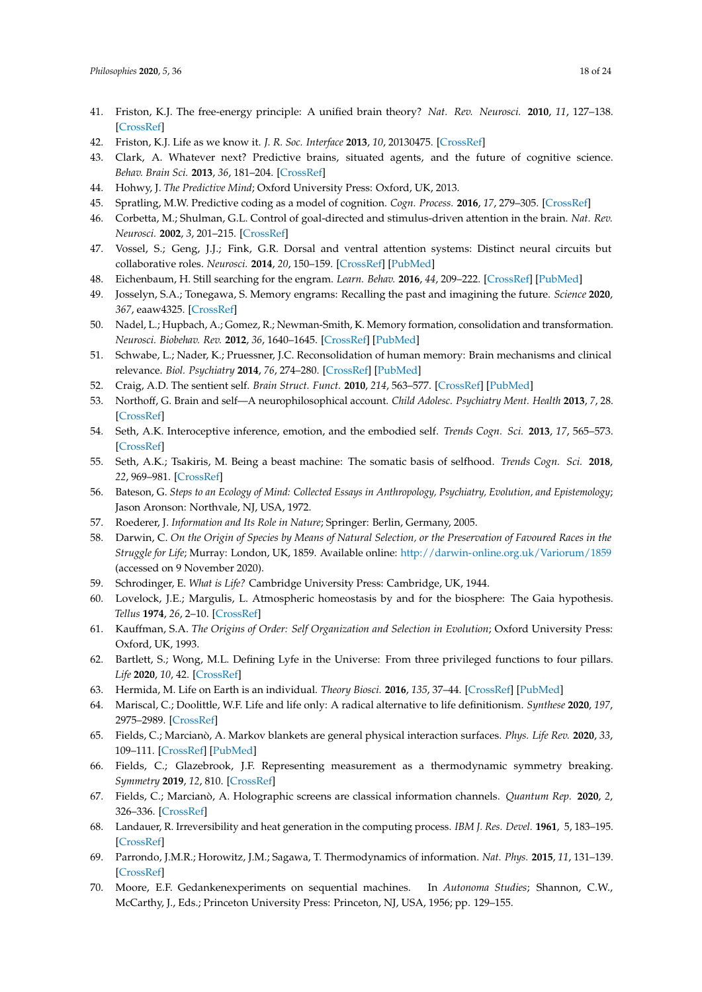- <span id="page-17-3"></span>41. Friston, K.J. The free-energy principle: A unified brain theory? *Nat. Rev. Neurosci.* **2010**, *11*, 127–138. [\[CrossRef\]](http://dx.doi.org/10.1038/nrn2787)
- <span id="page-17-4"></span>42. Friston, K.J. Life as we know it. *J. R. Soc. Interface* **2013**, *10*, 20130475. [\[CrossRef\]](http://dx.doi.org/10.1098/rsif.2013.0475)
- 43. Clark, A. Whatever next? Predictive brains, situated agents, and the future of cognitive science. *Behav. Brain Sci.* **2013**, *36*, 181–204. [\[CrossRef\]](http://dx.doi.org/10.1017/S0140525X12000477)
- 44. Hohwy, J. *The Predictive Mind*; Oxford University Press: Oxford, UK, 2013.
- <span id="page-17-0"></span>45. Spratling, M.W. Predictive coding as a model of cognition. *Cogn. Process.* **2016**, *17*, 279–305. [\[CrossRef\]](http://dx.doi.org/10.1007/s10339-016-0765-6)
- <span id="page-17-1"></span>46. Corbetta, M.; Shulman, G.L. Control of goal-directed and stimulus-driven attention in the brain. *Nat. Rev. Neurosci.* **2002**, *3*, 201–215. [\[CrossRef\]](http://dx.doi.org/10.1038/nrn755)
- <span id="page-17-2"></span>47. Vossel, S.; Geng, J.J.; Fink, G.R. Dorsal and ventral attention systems: Distinct neural circuits but collaborative roles. *Neurosci.* **2014**, *20*, 150–159. [\[CrossRef\]](http://dx.doi.org/10.1177/1073858413494269) [\[PubMed\]](http://www.ncbi.nlm.nih.gov/pubmed/23835449)
- <span id="page-17-5"></span>48. Eichenbaum, H. Still searching for the engram. *Learn. Behav.* **2016**, *44*, 209–222. [\[CrossRef\]](http://dx.doi.org/10.3758/s13420-016-0218-1) [\[PubMed\]](http://www.ncbi.nlm.nih.gov/pubmed/26944423)
- <span id="page-17-6"></span>49. Josselyn, S.A.; Tonegawa, S. Memory engrams: Recalling the past and imagining the future. *Science* **2020**, *367*, eaaw4325. [\[CrossRef\]](http://dx.doi.org/10.1126/science.aaw4325)
- <span id="page-17-7"></span>50. Nadel, L.; Hupbach, A.; Gomez, R.; Newman-Smith, K. Memory formation, consolidation and transformation. *Neurosci. Biobehav. Rev.* **2012**, *36*, 1640–1645. [\[CrossRef\]](http://dx.doi.org/10.1016/j.neubiorev.2012.03.001) [\[PubMed\]](http://www.ncbi.nlm.nih.gov/pubmed/22465050)
- <span id="page-17-8"></span>51. Schwabe, L.; Nader, K.; Pruessner, J.C. Reconsolidation of human memory: Brain mechanisms and clinical relevance. *Biol. Psychiatry* **2014**, *76*, 274–280. [\[CrossRef\]](http://dx.doi.org/10.1016/j.biopsych.2014.03.008) [\[PubMed\]](http://www.ncbi.nlm.nih.gov/pubmed/24755493)
- <span id="page-17-9"></span>52. Craig, A.D. The sentient self. *Brain Struct. Funct.* **2010**, *214*, 563–577. [\[CrossRef\]](http://dx.doi.org/10.1007/s00429-010-0248-y) [\[PubMed\]](http://www.ncbi.nlm.nih.gov/pubmed/20512381)
- 53. Northoff, G. Brain and self—A neurophilosophical account. *Child Adolesc. Psychiatry Ment. Health* **2013**, *7*, 28. [\[CrossRef\]](http://dx.doi.org/10.1186/1753-2000-7-28)
- 54. Seth, A.K. Interoceptive inference, emotion, and the embodied self. *Trends Cogn. Sci.* **2013**, *17*, 565–573. [\[CrossRef\]](http://dx.doi.org/10.1016/j.tics.2013.09.007)
- <span id="page-17-10"></span>55. Seth, A.K.; Tsakiris, M. Being a beast machine: The somatic basis of selfhood. *Trends Cogn. Sci.* **2018**, *22*, 969–981. [\[CrossRef\]](http://dx.doi.org/10.1016/j.tics.2018.08.008)
- <span id="page-17-11"></span>56. Bateson, G. *Steps to an Ecology of Mind: Collected Essays in Anthropology, Psychiatry, Evolution, and Epistemology*; Jason Aronson: Northvale, NJ, USA, 1972.
- <span id="page-17-12"></span>57. Roederer, J. *Information and Its Role in Nature*; Springer: Berlin, Germany, 2005.
- <span id="page-17-13"></span>58. Darwin, C. *On the Origin of Species by Means of Natural Selection, or the Preservation of Favoured Races in the Struggle for Life*; Murray: London, UK, 1859. Available online: <http://darwin-online.org.uk/Variorum/1859> (accessed on 9 November 2020).
- 59. Schrodinger, E. *What is Life?* Cambridge University Press: Cambridge, UK, 1944.
- 60. Lovelock, J.E.; Margulis, L. Atmospheric homeostasis by and for the biosphere: The Gaia hypothesis. *Tellus* **1974**, *26*, 2–10. [\[CrossRef\]](http://dx.doi.org/10.3402/tellusa.v26i1-2.9731)
- 61. Kauffman, S.A. *The Origins of Order: Self Organization and Selection in Evolution*; Oxford University Press: Oxford, UK, 1993.
- <span id="page-17-14"></span>62. Bartlett, S.; Wong, M.L. Defining Lyfe in the Universe: From three privileged functions to four pillars. *Life* **2020**, *10*, 42. [\[CrossRef\]](http://dx.doi.org/10.3390/life10040042)
- <span id="page-17-15"></span>63. Hermida, M. Life on Earth is an individual. *Theory Biosci.* **2016**, *135*, 37–44. [\[CrossRef\]](http://dx.doi.org/10.1007/s12064-016-0221-2) [\[PubMed\]](http://www.ncbi.nlm.nih.gov/pubmed/26907555)
- <span id="page-17-16"></span>64. Mariscal, C.; Doolittle, W.F. Life and life only: A radical alternative to life definitionism. *Synthese* **2020**, *197*, 2975–2989. [\[CrossRef\]](http://dx.doi.org/10.1007/s11229-018-1852-2)
- <span id="page-17-17"></span>65. Fields, C.; Marcianò, A. Markov blankets are general physical interaction surfaces. *Phys. Life Rev.* **2020**, *33*, 109–111. [\[CrossRef\]](http://dx.doi.org/10.1016/j.plrev.2019.08.004) [\[PubMed\]](http://www.ncbi.nlm.nih.gov/pubmed/31416699)
- <span id="page-17-22"></span>66. Fields, C.; Glazebrook, J.F. Representing measurement as a thermodynamic symmetry breaking. *Symmetry* **2019**, *12*, 810. [\[CrossRef\]](http://dx.doi.org/10.3390/sym12050810)
- <span id="page-17-18"></span>67. Fields, C.; Marcianò, A. Holographic screens are classical information channels. *Quantum Rep.* **2020**, *2*, 326–336. [\[CrossRef\]](http://dx.doi.org/10.3390/quantum2020022)
- <span id="page-17-19"></span>68. Landauer, R. Irreversibility and heat generation in the computing process. *IBM J. Res. Devel.* **1961**, 5, 183–195. [\[CrossRef\]](http://dx.doi.org/10.1147/rd.53.0183)
- <span id="page-17-20"></span>69. Parrondo, J.M.R.; Horowitz, J.M.; Sagawa, T. Thermodynamics of information. *Nat. Phys.* **2015**, *11*, 131–139. [\[CrossRef\]](http://dx.doi.org/10.1038/nphys3230)
- <span id="page-17-21"></span>70. Moore, E.F. Gedankenexperiments on sequential machines. In *Autonoma Studies*; Shannon, C.W., McCarthy, J., Eds.; Princeton University Press: Princeton, NJ, USA, 1956; pp. 129–155.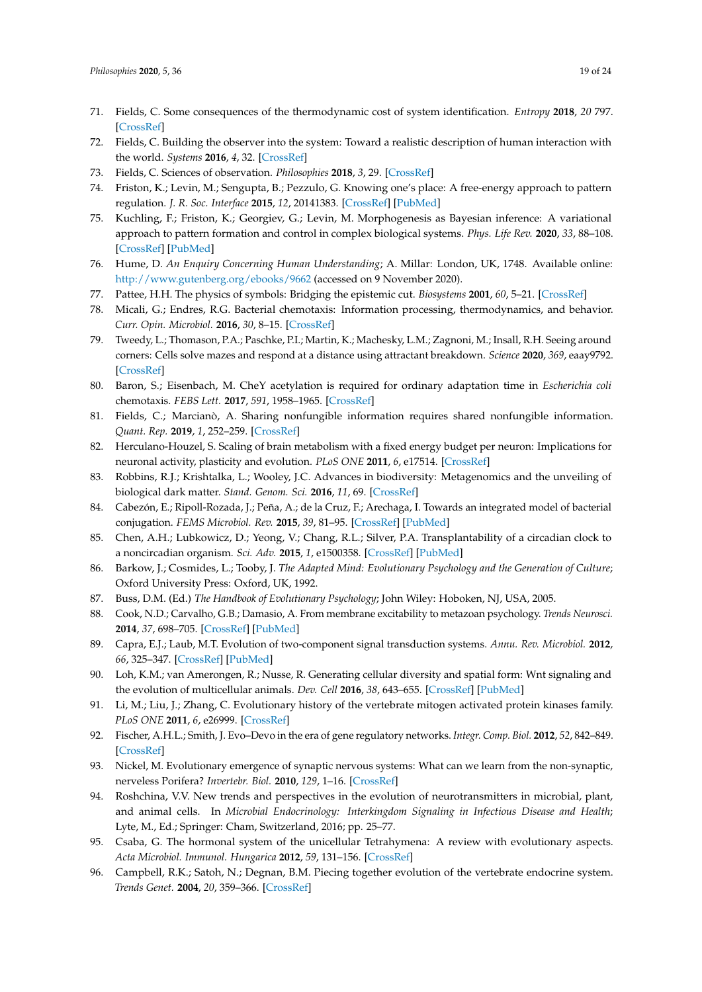- <span id="page-18-0"></span>71. Fields, C. Some consequences of the thermodynamic cost of system identification. *Entropy* **2018**, *20* 797. [\[CrossRef\]](http://dx.doi.org/10.3390/e20100797)
- <span id="page-18-1"></span>72. Fields, C. Building the observer into the system: Toward a realistic description of human interaction with the world. *Systems* **2016**, *4*, 32. [\[CrossRef\]](http://dx.doi.org/10.3390/systems4040032)
- <span id="page-18-2"></span>73. Fields, C. Sciences of observation. *Philosophies* **2018**, *3*, 29. [\[CrossRef\]](http://dx.doi.org/10.3390/philosophies3040029)
- <span id="page-18-3"></span>74. Friston, K.; Levin, M.; Sengupta, B.; Pezzulo, G. Knowing one's place: A free-energy approach to pattern regulation. *J. R. Soc. Interface* **2015**, *12*, 20141383. [\[CrossRef\]](http://dx.doi.org/10.1098/rsif.2014.1383) [\[PubMed\]](http://www.ncbi.nlm.nih.gov/pubmed/25788538)
- <span id="page-18-4"></span>75. Kuchling, F.; Friston, K.; Georgiev, G.; Levin, M. Morphogenesis as Bayesian inference: A variational approach to pattern formation and control in complex biological systems. *Phys. Life Rev.* **2020**, *33*, 88–108. [\[CrossRef\]](http://dx.doi.org/10.1016/j.plrev.2019.06.001) [\[PubMed\]](http://www.ncbi.nlm.nih.gov/pubmed/31320316)
- <span id="page-18-5"></span>76. Hume, D. *An Enquiry Concerning Human Understanding*; A. Millar: London, UK, 1748. Available online: <http://www.gutenberg.org/ebooks/9662> (accessed on 9 November 2020).
- <span id="page-18-6"></span>77. Pattee, H.H. The physics of symbols: Bridging the epistemic cut. *Biosystems* **2001**, *60*, 5–21. [\[CrossRef\]](http://dx.doi.org/10.1016/S0303-2647(01)00104-6)
- <span id="page-18-7"></span>78. Micali, G.; Endres, R.G. Bacterial chemotaxis: Information processing, thermodynamics, and behavior. *Curr. Opin. Microbiol.* **2016**, *30*, 8–15. [\[CrossRef\]](http://dx.doi.org/10.1016/j.mib.2015.12.001)
- <span id="page-18-8"></span>79. Tweedy, L.; Thomason, P.A.; Paschke, P.I.; Martin, K.; Machesky, L.M.; Zagnoni, M.; Insall, R.H. Seeing around corners: Cells solve mazes and respond at a distance using attractant breakdown. *Science* **2020**, *369*, eaay9792. [\[CrossRef\]](http://dx.doi.org/10.1126/science.aay9792)
- <span id="page-18-9"></span>80. Baron, S.; Eisenbach, M. CheY acetylation is required for ordinary adaptation time in *Escherichia coli* chemotaxis. *FEBS Lett.* **2017**, *591*, 1958–1965. [\[CrossRef\]](http://dx.doi.org/10.1002/1873-3468.12699)
- <span id="page-18-10"></span>81. Fields, C.; Marcianò, A. Sharing nonfungible information requires shared nonfungible information. *Quant. Rep.* **2019**, *1*, 252–259. [\[CrossRef\]](http://dx.doi.org/10.3390/quantum1020022)
- <span id="page-18-11"></span>82. Herculano-Houzel, S. Scaling of brain metabolism with a fixed energy budget per neuron: Implications for neuronal activity, plasticity and evolution. *PLoS ONE* **2011**, *6*, e17514. [\[CrossRef\]](http://dx.doi.org/10.1371/journal.pone.0017514)
- <span id="page-18-12"></span>83. Robbins, R.J.; Krishtalka, L.; Wooley, J.C. Advances in biodiversity: Metagenomics and the unveiling of biological dark matter. *Stand. Genom. Sci.* **2016**, *11*, 69. [\[CrossRef\]](http://dx.doi.org/10.1186/s40793-016-0180-8)
- <span id="page-18-13"></span>84. Cabezón, E.; Ripoll-Rozada, J.; Peña, A.; de la Cruz, F.; Arechaga, I. Towards an integrated model of bacterial conjugation. *FEMS Microbiol. Rev.* **2015**, *39*, 81–95. [\[CrossRef\]](http://dx.doi.org/10.1111/1574-6976.12085) [\[PubMed\]](http://www.ncbi.nlm.nih.gov/pubmed/25154632)
- <span id="page-18-14"></span>85. Chen, A.H.; Lubkowicz, D.; Yeong, V.; Chang, R.L.; Silver, P.A. Transplantability of a circadian clock to a noncircadian organism. *Sci. Adv.* **2015**, *1*, e1500358. [\[CrossRef\]](http://dx.doi.org/10.1126/sciadv.1500358) [\[PubMed\]](http://www.ncbi.nlm.nih.gov/pubmed/26229984)
- <span id="page-18-15"></span>86. Barkow, J.; Cosmides, L.; Tooby, J. *The Adapted Mind: Evolutionary Psychology and the Generation of Culture*; Oxford University Press: Oxford, UK, 1992.
- <span id="page-18-16"></span>87. Buss, D.M. (Ed.) *The Handbook of Evolutionary Psychology*; John Wiley: Hoboken, NJ, USA, 2005.
- <span id="page-18-17"></span>88. Cook, N.D.; Carvalho, G.B.; Damasio, A. From membrane excitability to metazoan psychology. *Trends Neurosci.* **2014**, *37*, 698–705. [\[CrossRef\]](http://dx.doi.org/10.1016/j.tins.2014.07.011) [\[PubMed\]](http://www.ncbi.nlm.nih.gov/pubmed/25176475)
- <span id="page-18-18"></span>89. Capra, E.J.; Laub, M.T. Evolution of two-component signal transduction systems. *Annu. Rev. Microbiol.* **2012**, *66*, 325–347. [\[CrossRef\]](http://dx.doi.org/10.1146/annurev-micro-092611-150039) [\[PubMed\]](http://www.ncbi.nlm.nih.gov/pubmed/22746333)
- <span id="page-18-19"></span>90. Loh, K.M.; van Amerongen, R.; Nusse, R. Generating cellular diversity and spatial form: Wnt signaling and the evolution of multicellular animals. *Dev. Cell* **2016**, *38*, 643–655. [\[CrossRef\]](http://dx.doi.org/10.1016/j.devcel.2016.08.011) [\[PubMed\]](http://www.ncbi.nlm.nih.gov/pubmed/27676437)
- <span id="page-18-20"></span>91. Li, M.; Liu, J.; Zhang, C. Evolutionary history of the vertebrate mitogen activated protein kinases family. *PLoS ONE* **2011**, *6*, e26999. [\[CrossRef\]](http://dx.doi.org/10.1371/journal.pone.0026999)
- <span id="page-18-21"></span>92. Fischer, A.H.L.; Smith, J. Evo–Devo in the era of gene regulatory networks. *Integr. Comp. Biol.* **2012**, *52*, 842–849. [\[CrossRef\]](http://dx.doi.org/10.1093/icb/ics112)
- <span id="page-18-22"></span>93. Nickel, M. Evolutionary emergence of synaptic nervous systems: What can we learn from the non-synaptic, nerveless Porifera? *Invertebr. Biol.* **2010**, *129*, 1–16. [\[CrossRef\]](http://dx.doi.org/10.1111/j.1744-7410.2010.00193.x)
- <span id="page-18-23"></span>94. Roshchina, V.V. New trends and perspectives in the evolution of neurotransmitters in microbial, plant, and animal cells. In *Microbial Endocrinology: Interkingdom Signaling in Infectious Disease and Health*; Lyte, M., Ed.; Springer: Cham, Switzerland, 2016; pp. 25–77.
- <span id="page-18-24"></span>95. Csaba, G. The hormonal system of the unicellular Tetrahymena: A review with evolutionary aspects. *Acta Microbiol. Immunol. Hungarica* **2012**, *59*, 131–156. [\[CrossRef\]](http://dx.doi.org/10.1556/AMicr.59.2012.2.1)
- <span id="page-18-25"></span>96. Campbell, R.K.; Satoh, N.; Degnan, B.M. Piecing together evolution of the vertebrate endocrine system. *Trends Genet.* **2004**, *20*, 359–366. [\[CrossRef\]](http://dx.doi.org/10.1016/j.tig.2004.06.005)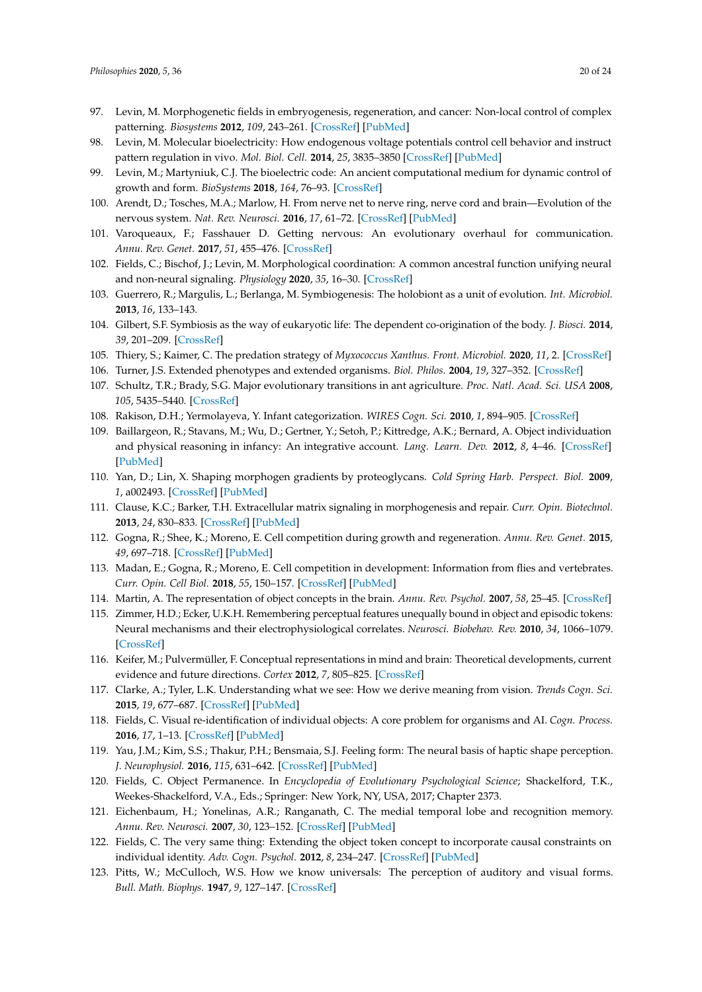- <span id="page-19-0"></span>97. Levin, M. Morphogenetic fields in embryogenesis, regeneration, and cancer: Non-local control of complex patterning. *Biosystems* **2012**, *109*, 243–261. [\[CrossRef\]](http://dx.doi.org/10.1016/j.biosystems.2012.04.005) [\[PubMed\]](http://www.ncbi.nlm.nih.gov/pubmed/22542702)
- 98. Levin, M. Molecular bioelectricity: How endogenous voltage potentials control cell behavior and instruct pattern regulation in vivo. *Mol. Biol. Cell.* **2014**, *25*, 3835–3850 [\[CrossRef\]](http://dx.doi.org/10.1091/mbc.e13-12-0708) [\[PubMed\]](http://www.ncbi.nlm.nih.gov/pubmed/25425556)
- <span id="page-19-1"></span>99. Levin, M.; Martyniuk, C.J. The bioelectric code: An ancient computational medium for dynamic control of growth and form. *BioSystems* **2018**, *164*, 76–93. [\[CrossRef\]](http://dx.doi.org/10.1016/j.biosystems.2017.08.009)
- <span id="page-19-2"></span>100. Arendt, D.; Tosches, M.A.; Marlow, H. From nerve net to nerve ring, nerve cord and brain—Evolution of the nervous system. *Nat. Rev. Neurosci.* **2016**, *17*, 61–72. [\[CrossRef\]](http://dx.doi.org/10.1038/nrn.2015.15) [\[PubMed\]](http://www.ncbi.nlm.nih.gov/pubmed/26675821)
- 101. Varoqueaux, F.; Fasshauer D. Getting nervous: An evolutionary overhaul for communication. *Annu. Rev. Genet.* **2017**, *51*, 455–476. [\[CrossRef\]](http://dx.doi.org/10.1146/annurev-genet-120116-024648)
- <span id="page-19-3"></span>102. Fields, C.; Bischof, J.; Levin, M. Morphological coordination: A common ancestral function unifying neural and non-neural signaling. *Physiology* **2020**, *35*, 16–30. [\[CrossRef\]](http://dx.doi.org/10.1152/physiol.00027.2019)
- <span id="page-19-4"></span>103. Guerrero, R.; Margulis, L.; Berlanga, M. Symbiogenesis: The holobiont as a unit of evolution. *Int. Microbiol.* **2013**, *16*, 133–143.
- <span id="page-19-5"></span>104. Gilbert, S.F. Symbiosis as the way of eukaryotic life: The dependent co-origination of the body. *J. Biosci.* **2014**, *39*, 201–209. [\[CrossRef\]](http://dx.doi.org/10.1007/s12038-013-9343-6)
- <span id="page-19-6"></span>105. Thiery, S.; Kaimer, C. The predation strategy of *Myxococcus Xanthus. Front. Microbiol.* **2020**, *11*, 2. [\[CrossRef\]](http://dx.doi.org/10.3389/fmicb.2020.00002)
- <span id="page-19-8"></span><span id="page-19-7"></span>106. Turner, J.S. Extended phenotypes and extended organisms. *Biol. Philos.* **2004**, *19*, 327–352. [\[CrossRef\]](http://dx.doi.org/10.1023/B:BIPH.0000036115.65522.a1)
- 107. Schultz, T.R.; Brady, S.G. Major evolutionary transitions in ant agriculture. *Proc. Natl. Acad. Sci. USA* **2008**, *105*, 5435–5440. [\[CrossRef\]](http://dx.doi.org/10.1073/pnas.0711024105)
- <span id="page-19-9"></span>108. Rakison, D.H.; Yermolayeva, Y. Infant categorization. *WIRES Cogn. Sci.* **2010**, *1*, 894–905. [\[CrossRef\]](http://dx.doi.org/10.1002/wcs.81)
- <span id="page-19-10"></span>109. Baillargeon, R.; Stavans, M.; Wu, D.; Gertner, Y.; Setoh, P.; Kittredge, A.K.; Bernard, A. Object individuation and physical reasoning in infancy: An integrative account. *Lang. Learn. Dev.* **2012**, *8*, 4–46. [\[CrossRef\]](http://dx.doi.org/10.1080/15475441.2012.630610) [\[PubMed\]](http://www.ncbi.nlm.nih.gov/pubmed/23204946)
- <span id="page-19-11"></span>110. Yan, D.; Lin, X. Shaping morphogen gradients by proteoglycans. *Cold Spring Harb. Perspect. Biol.* **2009**, *1*, a002493. [\[CrossRef\]](http://dx.doi.org/10.1101/cshperspect.a002493) [\[PubMed\]](http://www.ncbi.nlm.nih.gov/pubmed/20066107)
- <span id="page-19-12"></span>111. Clause, K.C.; Barker, T.H. Extracellular matrix signaling in morphogenesis and repair. *Curr. Opin. Biotechnol.* **2013**, *24*, 830–833. [\[CrossRef\]](http://dx.doi.org/10.1016/j.copbio.2013.04.011) [\[PubMed\]](http://www.ncbi.nlm.nih.gov/pubmed/23726156)
- <span id="page-19-13"></span>112. Gogna, R.; Shee, K.; Moreno, E. Cell competition during growth and regeneration. *Annu. Rev. Genet.* **2015**, *49*, 697–718. [\[CrossRef\]](http://dx.doi.org/10.1146/annurev-genet-112414-055214) [\[PubMed\]](http://www.ncbi.nlm.nih.gov/pubmed/26631518)
- <span id="page-19-14"></span>113. Madan, E.; Gogna, R.; Moreno, E. Cell competition in development: Information from flies and vertebrates. *Curr. Opin. Cell Biol.* **2018**, *55*, 150–157. [\[CrossRef\]](http://dx.doi.org/10.1016/j.ceb.2018.08.002) [\[PubMed\]](http://www.ncbi.nlm.nih.gov/pubmed/30208354)
- <span id="page-19-15"></span>114. Martin, A. The representation of object concepts in the brain. *Annu. Rev. Psychol.* **2007**, *58*, 25–45. [\[CrossRef\]](http://dx.doi.org/10.1146/annurev.psych.57.102904.190143)
- <span id="page-19-22"></span>115. Zimmer, H.D.; Ecker, U.K.H. Remembering perceptual features unequally bound in object and episodic tokens: Neural mechanisms and their electrophysiological correlates. *Neurosci. Biobehav. Rev.* **2010**, *34*, 1066–1079. [\[CrossRef\]](http://dx.doi.org/10.1016/j.neubiorev.2010.01.014)
- 116. Keifer, M.; Pulvermüller, F. Conceptual representations in mind and brain: Theoretical developments, current evidence and future directions. *Cortex* **2012**, *7*, 805–825. [\[CrossRef\]](http://dx.doi.org/10.1016/j.cortex.2011.04.006)
- <span id="page-19-19"></span>117. Clarke, A.; Tyler, L.K. Understanding what we see: How we derive meaning from vision. *Trends Cogn. Sci.* **2015**, *19*, 677–687. [\[CrossRef\]](http://dx.doi.org/10.1016/j.tics.2015.08.008) [\[PubMed\]](http://www.ncbi.nlm.nih.gov/pubmed/26440124)
- <span id="page-19-16"></span>118. Fields, C. Visual re-identification of individual objects: A core problem for organisms and AI. *Cogn. Process.* **2016**, *17*, 1–13. [\[CrossRef\]](http://dx.doi.org/10.1007/s10339-015-0736-3) [\[PubMed\]](http://www.ncbi.nlm.nih.gov/pubmed/26449819)
- <span id="page-19-17"></span>119. Yau, J.M.; Kim, S.S.; Thakur, P.H.; Bensmaia, S.J. Feeling form: The neural basis of haptic shape perception. *J. Neurophysiol.* **2016**, *115*, 631–642. [\[CrossRef\]](http://dx.doi.org/10.1152/jn.00598.2015) [\[PubMed\]](http://www.ncbi.nlm.nih.gov/pubmed/26581869)
- <span id="page-19-18"></span>120. Fields, C. Object Permanence. In *Encyclopedia of Evolutionary Psychological Science*; Shackelford, T.K., Weekes-Shackelford, V.A., Eds.; Springer: New York, NY, USA, 2017; Chapter 2373.
- <span id="page-19-20"></span>121. Eichenbaum, H.; Yonelinas, A.R.; Ranganath, C. The medial temporal lobe and recognition memory. *Annu. Rev. Neurosci.* **2007**, *30*, 123–152. [\[CrossRef\]](http://dx.doi.org/10.1146/annurev.neuro.30.051606.094328) [\[PubMed\]](http://www.ncbi.nlm.nih.gov/pubmed/17417939)
- <span id="page-19-21"></span>122. Fields, C. The very same thing: Extending the object token concept to incorporate causal constraints on individual identity. *Adv. Cogn. Psychol.* **2012**, *8*, 234–247. [\[CrossRef\]](http://dx.doi.org/10.5709/acp-0119-8) [\[PubMed\]](http://www.ncbi.nlm.nih.gov/pubmed/22956989)
- <span id="page-19-23"></span>123. Pitts, W.; McCulloch, W.S. How we know universals: The perception of auditory and visual forms. *Bull. Math. Biophys.* **1947**, *9*, 127–147. [\[CrossRef\]](http://dx.doi.org/10.1007/BF02478291)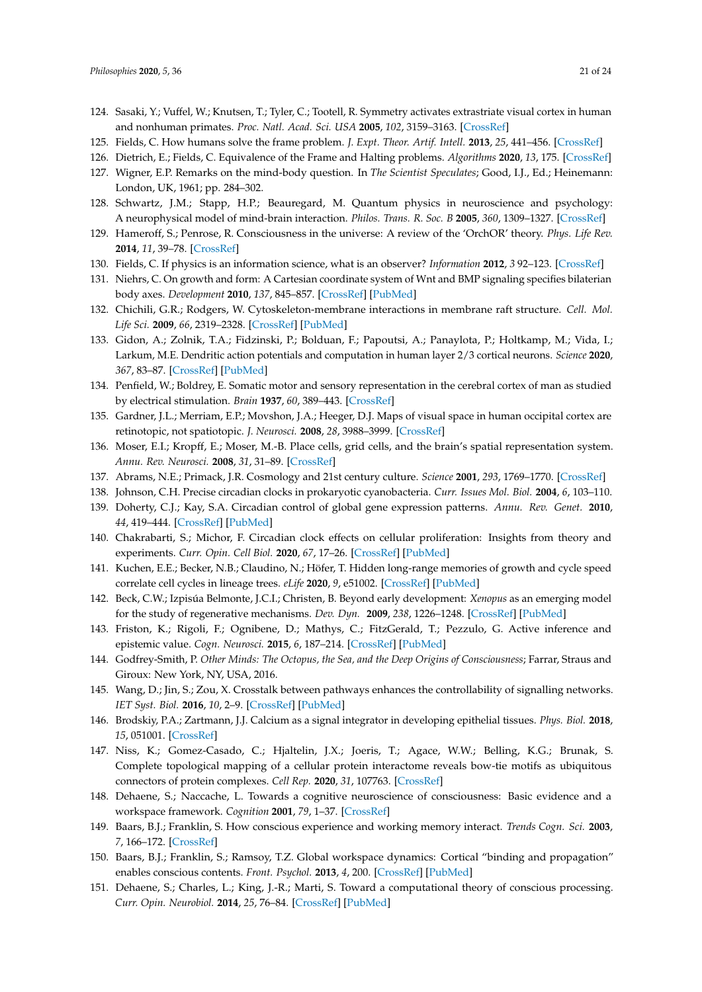- <span id="page-20-0"></span>124. Sasaki, Y.; Vuffel, W.; Knutsen, T.; Tyler, C.; Tootell, R. Symmetry activates extrastriate visual cortex in human and nonhuman primates. *Proc. Natl. Acad. Sci. USA* **2005**, *102*, 3159–3163. [\[CrossRef\]](http://dx.doi.org/10.1073/pnas.0500319102)
- <span id="page-20-1"></span>125. Fields, C. How humans solve the frame problem. *J. Expt. Theor. Artif. Intell.* **2013**, *25*, 441–456. [\[CrossRef\]](http://dx.doi.org/10.1080/0952813X.2012.741624)
- <span id="page-20-2"></span>126. Dietrich, E.; Fields, C. Equivalence of the Frame and Halting problems. *Algorithms* **2020**, *13*, 175. [\[CrossRef\]](http://dx.doi.org/10.3390/a13070175)
- <span id="page-20-3"></span>127. Wigner, E.P. Remarks on the mind-body question. In *The Scientist Speculates*; Good, I.J., Ed.; Heinemann: London, UK, 1961; pp. 284–302.
- 128. Schwartz, J.M.; Stapp, H.P.; Beauregard, M. Quantum physics in neuroscience and psychology: A neurophysical model of mind-brain interaction. *Philos. Trans. R. Soc. B* **2005**, *360*, 1309–1327. [\[CrossRef\]](http://dx.doi.org/10.1098/rstb.2004.1598)
- <span id="page-20-4"></span>129. Hameroff, S.; Penrose, R. Consciousness in the universe: A review of the 'OrchOR' theory. *Phys. Life Rev.* **2014**, *11*, 39–78. [\[CrossRef\]](http://dx.doi.org/10.1016/j.plrev.2013.08.002)
- <span id="page-20-5"></span>130. Fields, C. If physics is an information science, what is an observer? *Information* **2012**, *3* 92–123. [\[CrossRef\]](http://dx.doi.org/10.3390/info3010092)
- <span id="page-20-6"></span>131. Niehrs, C. On growth and form: A Cartesian coordinate system of Wnt and BMP signaling specifies bilaterian body axes. *Development* **2010**, *137*, 845–857. [\[CrossRef\]](http://dx.doi.org/10.1242/dev.039651) [\[PubMed\]](http://www.ncbi.nlm.nih.gov/pubmed/20179091)
- <span id="page-20-7"></span>132. Chichili, G.R.; Rodgers, W. Cytoskeleton-membrane interactions in membrane raft structure. *Cell. Mol. Life Sci.* **2009**, *66*, 2319–2328. [\[CrossRef\]](http://dx.doi.org/10.1007/s00018-009-0022-6) [\[PubMed\]](http://www.ncbi.nlm.nih.gov/pubmed/19370312)
- <span id="page-20-8"></span>133. Gidon, A.; Zolnik, T.A.; Fidzinski, P.; Bolduan, F.; Papoutsi, A.; Panaylota, P.; Holtkamp, M.; Vida, I.; Larkum, M.E. Dendritic action potentials and computation in human layer 2/3 cortical neurons. *Science* **2020**, *367*, 83–87. [\[CrossRef\]](http://dx.doi.org/10.1126/science.aax6239) [\[PubMed\]](http://www.ncbi.nlm.nih.gov/pubmed/31896716)
- <span id="page-20-9"></span>134. Penfield, W.; Boldrey, E. Somatic motor and sensory representation in the cerebral cortex of man as studied by electrical stimulation. *Brain* **1937**, *60*, 389–443. [\[CrossRef\]](http://dx.doi.org/10.1093/brain/60.4.389)
- <span id="page-20-10"></span>135. Gardner, J.L.; Merriam, E.P.; Movshon, J.A.; Heeger, D.J. Maps of visual space in human occipital cortex are retinotopic, not spatiotopic. *J. Neurosci.* **2008**, *28*, 3988–3999. [\[CrossRef\]](http://dx.doi.org/10.1523/JNEUROSCI.5476-07.2008)
- <span id="page-20-11"></span>136. Moser, E.I.; Kropff, E.; Moser, M.-B. Place cells, grid cells, and the brain's spatial representation system. *Annu. Rev. Neurosci.* **2008**, *31*, 31–89. [\[CrossRef\]](http://dx.doi.org/10.1146/annurev.neuro.31.061307.090723)
- <span id="page-20-12"></span>137. Abrams, N.E.; Primack, J.R. Cosmology and 21st century culture. *Science* **2001**, *293*, 1769–1770. [\[CrossRef\]](http://dx.doi.org/10.1126/science.1063090)
- <span id="page-20-13"></span>138. Johnson, C.H. Precise circadian clocks in prokaryotic cyanobacteria. *Curr. Issues Mol. Biol.* **2004**, *6*, 103–110.
- 139. Doherty, C.J.; Kay, S.A. Circadian control of global gene expression patterns. *Annu. Rev. Genet.* **2010**, *44*, 419–444. [\[CrossRef\]](http://dx.doi.org/10.1146/annurev-genet-102209-163432) [\[PubMed\]](http://www.ncbi.nlm.nih.gov/pubmed/20809800)
- <span id="page-20-14"></span>140. Chakrabarti, S.; Michor, F. Circadian clock effects on cellular proliferation: Insights from theory and experiments. *Curr. Opin. Cell Biol.* **2020**, *67*, 17–26. [\[CrossRef\]](http://dx.doi.org/10.1016/j.ceb.2020.07.003) [\[PubMed\]](http://www.ncbi.nlm.nih.gov/pubmed/32771864)
- <span id="page-20-15"></span>141. Kuchen, E.E.; Becker, N.B.; Claudino, N.; Höfer, T. Hidden long-range memories of growth and cycle speed correlate cell cycles in lineage trees. *eLife* **2020**, *9*, e51002. [\[CrossRef\]](http://dx.doi.org/10.7554/eLife.51002) [\[PubMed\]](http://www.ncbi.nlm.nih.gov/pubmed/31971512)
- <span id="page-20-16"></span>142. Beck, C.W.; Izpisúa Belmonte, J.C.I.; Christen, B. Beyond early development: *Xenopus* as an emerging model for the study of regenerative mechanisms. *Dev. Dyn.* **2009**, *238*, 1226–1248. [\[CrossRef\]](http://dx.doi.org/10.1002/dvdy.21890) [\[PubMed\]](http://www.ncbi.nlm.nih.gov/pubmed/19280606)
- <span id="page-20-17"></span>143. Friston, K.; Rigoli, F.; Ognibene, D.; Mathys, C.; FitzGerald, T.; Pezzulo, G. Active inference and epistemic value. *Cogn. Neurosci.* **2015**, *6*, 187–214. [\[CrossRef\]](http://dx.doi.org/10.1080/17588928.2015.1020053) [\[PubMed\]](http://www.ncbi.nlm.nih.gov/pubmed/25689102)
- <span id="page-20-18"></span>144. Godfrey-Smith, P. *Other Minds: The Octopus, the Sea, and the Deep Origins of Consciousness*; Farrar, Straus and Giroux: New York, NY, USA, 2016.
- <span id="page-20-19"></span>145. Wang, D.; Jin, S.; Zou, X. Crosstalk between pathways enhances the controllability of signalling networks. *IET Syst. Biol.* **2016**, *10*, 2–9. [\[CrossRef\]](http://dx.doi.org/10.1049/iet-syb.2014.0061) [\[PubMed\]](http://www.ncbi.nlm.nih.gov/pubmed/26816393)
- <span id="page-20-20"></span>146. Brodskiy, P.A.; Zartmann, J.J. Calcium as a signal integrator in developing epithelial tissues. *Phys. Biol.* **2018**, *15*, 051001. [\[CrossRef\]](http://dx.doi.org/10.1088/1478-3975/aabb18)
- <span id="page-20-21"></span>147. Niss, K.; Gomez-Casado, C.; Hjaltelin, J.X.; Joeris, T.; Agace, W.W.; Belling, K.G.; Brunak, S. Complete topological mapping of a cellular protein interactome reveals bow-tie motifs as ubiquitous connectors of protein complexes. *Cell Rep.* **2020**, *31*, 107763. [\[CrossRef\]](http://dx.doi.org/10.1016/j.celrep.2020.107763)
- <span id="page-20-22"></span>148. Dehaene, S.; Naccache, L. Towards a cognitive neuroscience of consciousness: Basic evidence and a workspace framework. *Cognition* **2001**, *79*, 1–37. [\[CrossRef\]](http://dx.doi.org/10.1016/S0010-0277(00)00123-2)
- 149. Baars, B.J.; Franklin, S. How conscious experience and working memory interact. *Trends Cogn. Sci.* **2003**, *7*, 166–172. [\[CrossRef\]](http://dx.doi.org/10.1016/S1364-6613(03)00056-1)
- 150. Baars, B.J.; Franklin, S.; Ramsoy, T.Z. Global workspace dynamics: Cortical "binding and propagation" enables conscious contents. *Front. Psychol.* **2013**, *4*, 200. [\[CrossRef\]](http://dx.doi.org/10.3389/fpsyg.2013.00200) [\[PubMed\]](http://www.ncbi.nlm.nih.gov/pubmed/23974723)
- 151. Dehaene, S.; Charles, L.; King, J.-R.; Marti, S. Toward a computational theory of conscious processing. *Curr. Opin. Neurobiol.* **2014**, *25*, 76–84. [\[CrossRef\]](http://dx.doi.org/10.1016/j.conb.2013.12.005) [\[PubMed\]](http://www.ncbi.nlm.nih.gov/pubmed/24709604)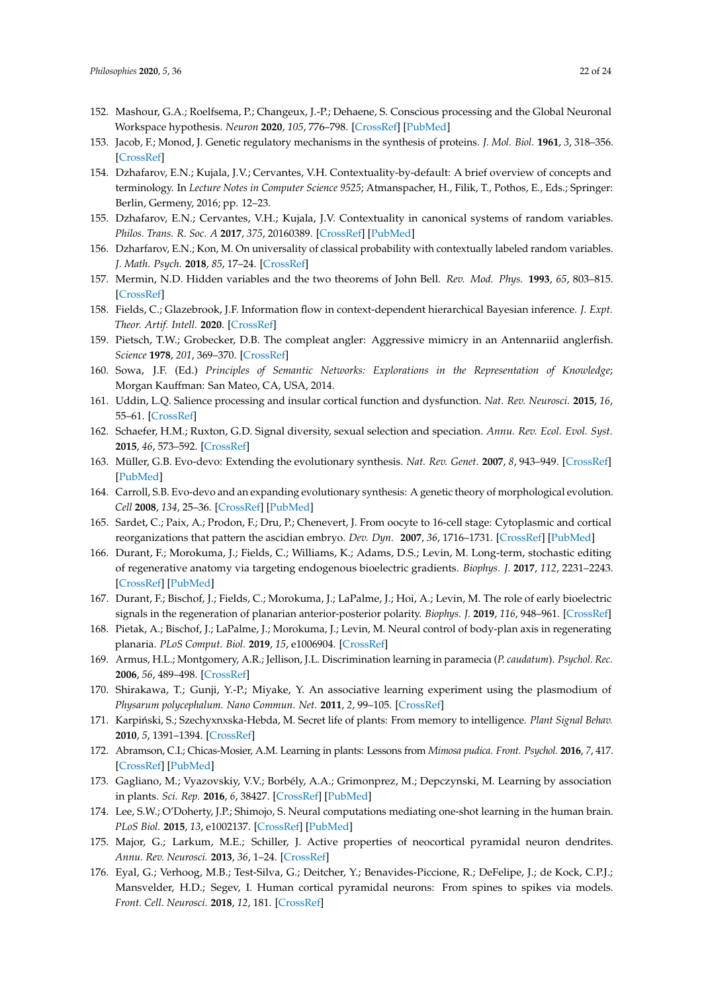- <span id="page-21-0"></span>152. Mashour, G.A.; Roelfsema, P.; Changeux, J.-P.; Dehaene, S. Conscious processing and the Global Neuronal Workspace hypothesis. *Neuron* **2020**, *105*, 776–798. [\[CrossRef\]](http://dx.doi.org/10.1016/j.neuron.2020.01.026) [\[PubMed\]](http://www.ncbi.nlm.nih.gov/pubmed/32135090)
- <span id="page-21-1"></span>153. Jacob, F.; Monod, J. Genetic regulatory mechanisms in the synthesis of proteins. *J. Mol. Biol.* **1961**, *3*, 318–356. [\[CrossRef\]](http://dx.doi.org/10.1016/S0022-2836(61)80072-7)
- <span id="page-21-2"></span>154. Dzhafarov, E.N.; Kujala, J.V.; Cervantes, V.H. Contextuality-by-default: A brief overview of concepts and terminology. In *Lecture Notes in Computer Science 9525*; Atmanspacher, H., Filik, T., Pothos, E., Eds.; Springer: Berlin, Germeny, 2016; pp. 12–23.
- 155. Dzhafarov, E.N.; Cervantes, V.H.; Kujala, J.V. Contextuality in canonical systems of random variables. *Philos. Trans. R. Soc. A* **2017**, *375*, 20160389. [\[CrossRef\]](http://dx.doi.org/10.1098/rsta.2016.0389) [\[PubMed\]](http://www.ncbi.nlm.nih.gov/pubmed/28971941)
- <span id="page-21-3"></span>156. Dzharfarov, E.N.; Kon, M. On universality of classical probability with contextually labeled random variables. *J. Math. Psych.* **2018**, *85*, 17–24. [\[CrossRef\]](http://dx.doi.org/10.1016/j.jmp.2018.06.001)
- <span id="page-21-4"></span>157. Mermin, N.D. Hidden variables and the two theorems of John Bell. *Rev. Mod. Phys.* **1993**, *65*, 803–815. [\[CrossRef\]](http://dx.doi.org/10.1103/RevModPhys.65.803)
- <span id="page-21-5"></span>158. Fields, C.; Glazebrook, J.F. Information flow in context-dependent hierarchical Bayesian inference. *J. Expt. Theor. Artif. Intell.* **2020**. [\[CrossRef\]](http://dx.doi.org/10.1080/0952813X.2020.1836034)
- <span id="page-21-6"></span>159. Pietsch, T.W.; Grobecker, D.B. The compleat angler: Aggressive mimicry in an Antennariid anglerfish. *Science* **1978**, *201*, 369–370. [\[CrossRef\]](http://dx.doi.org/10.1126/science.201.4353.369)
- <span id="page-21-7"></span>160. Sowa, J.F. (Ed.) *Principles of Semantic Networks: Explorations in the Representation of Knowledge*; Morgan Kauffman: San Mateo, CA, USA, 2014.
- <span id="page-21-8"></span>161. Uddin, L.Q. Salience processing and insular cortical function and dysfunction. *Nat. Rev. Neurosci.* **2015**, *16*, 55–61. [\[CrossRef\]](http://dx.doi.org/10.1038/nrn3857)
- <span id="page-21-9"></span>162. Schaefer, H.M.; Ruxton, G.D. Signal diversity, sexual selection and speciation. *Annu. Rev. Ecol. Evol. Syst.* **2015**, *46*, 573–592. [\[CrossRef\]](http://dx.doi.org/10.1146/annurev-ecolsys-112414-054158)
- <span id="page-21-10"></span>163. Müller, G.B. Evo-devo: Extending the evolutionary synthesis. *Nat. Rev. Genet.* **2007**, *8*, 943–949. [\[CrossRef\]](http://dx.doi.org/10.1038/nrg2219) [\[PubMed\]](http://www.ncbi.nlm.nih.gov/pubmed/17984972)
- <span id="page-21-11"></span>164. Carroll, S.B. Evo-devo and an expanding evolutionary synthesis: A genetic theory of morphological evolution. *Cell* **2008**, *134*, 25–36. [\[CrossRef\]](http://dx.doi.org/10.1016/j.cell.2008.06.030) [\[PubMed\]](http://www.ncbi.nlm.nih.gov/pubmed/18614008)
- <span id="page-21-12"></span>165. Sardet, C.; Paix, A.; Prodon, F.; Dru, P.; Chenevert, J. From oocyte to 16-cell stage: Cytoplasmic and cortical reorganizations that pattern the ascidian embryo. *Dev. Dyn.* **2007**, *36*, 1716–1731. [\[CrossRef\]](http://dx.doi.org/10.1002/dvdy.21136) [\[PubMed\]](http://www.ncbi.nlm.nih.gov/pubmed/17420986)
- <span id="page-21-13"></span>166. Durant, F.; Morokuma, J.; Fields, C.; Williams, K.; Adams, D.S.; Levin, M. Long-term, stochastic editing of regenerative anatomy via targeting endogenous bioelectric gradients. *Biophys. J.* **2017**, *112*, 2231–2243. [\[CrossRef\]](http://dx.doi.org/10.1016/j.bpj.2017.04.011) [\[PubMed\]](http://www.ncbi.nlm.nih.gov/pubmed/28538159)
- <span id="page-21-14"></span>167. Durant, F.; Bischof, J.; Fields, C.; Morokuma, J.; LaPalme, J.; Hoi, A.; Levin, M. The role of early bioelectric signals in the regeneration of planarian anterior-posterior polarity. *Biophys. J.* **2019**, *116*, 948–961. [\[CrossRef\]](http://dx.doi.org/10.1016/j.bpj.2019.01.029)
- <span id="page-21-15"></span>168. Pietak, A.; Bischof, J.; LaPalme, J.; Morokuma, J.; Levin, M. Neural control of body-plan axis in regenerating planaria. *PLoS Comput. Biol.* **2019**, *15*, e1006904. [\[CrossRef\]](http://dx.doi.org/10.1371/journal.pcbi.1006904)
- <span id="page-21-16"></span>169. Armus, H.L.; Montgomery, A.R.; Jellison, J.L. Discrimination learning in paramecia (*P. caudatum*). *Psychol. Rec.* **2006**, *56*, 489–498. [\[CrossRef\]](http://dx.doi.org/10.1007/BF03396029)
- <span id="page-21-17"></span>170. Shirakawa, T.; Gunji, Y.-P.; Miyake, Y. An associative learning experiment using the plasmodium of *Physarum polycephalum. Nano Commun. Net.* **2011**, *2*, 99–105. [\[CrossRef\]](http://dx.doi.org/10.1016/j.nancom.2011.05.002)
- <span id="page-21-18"></span>171. Karpiński, S.; Szechyxnxska-Hebda, M. Secret life of plants: From memory to intelligence. *Plant Signal Behav.* **2010**, *5*, 1391–1394. [\[CrossRef\]](http://dx.doi.org/10.4161/psb.5.11.13243)
- 172. Abramson, C.I.; Chicas-Mosier, A.M. Learning in plants: Lessons from *Mimosa pudica. Front. Psychol.* **2016**, *7*, 417. [\[CrossRef\]](http://dx.doi.org/10.3389/fpsyg.2016.00417) [\[PubMed\]](http://www.ncbi.nlm.nih.gov/pubmed/27065905)
- <span id="page-21-19"></span>173. Gagliano, M.; Vyazovskiy, V.V.; Borbély, A.A.; Grimonprez, M.; Depczynski, M. Learning by association in plants. *Sci. Rep.* **2016**, *6*, 38427. [\[CrossRef\]](http://dx.doi.org/10.1038/srep38427) [\[PubMed\]](http://www.ncbi.nlm.nih.gov/pubmed/27910933)
- <span id="page-21-20"></span>174. Lee, S.W.; O'Doherty, J.P.; Shimojo, S. Neural computations mediating one-shot learning in the human brain. *PLoS Biol.* **2015**, *13*, e1002137. [\[CrossRef\]](http://dx.doi.org/10.1371/journal.pbio.1002137) [\[PubMed\]](http://www.ncbi.nlm.nih.gov/pubmed/25919291)
- <span id="page-21-21"></span>175. Major, G.; Larkum, M.E.; Schiller, J. Active properties of neocortical pyramidal neuron dendrites. *Annu. Rev. Neurosci.* **2013**, *36*, 1–24. [\[CrossRef\]](http://dx.doi.org/10.1146/annurev-neuro-062111-150343)
- <span id="page-21-22"></span>176. Eyal, G.; Verhoog, M.B.; Test-Silva, G.; Deitcher, Y.; Benavides-Piccione, R.; DeFelipe, J.; de Kock, C.P.J.; Mansvelder, H.D.; Segev, I. Human cortical pyramidal neurons: From spines to spikes via models. *Front. Cell. Neurosci.* **2018**, *12*, 181. [\[CrossRef\]](http://dx.doi.org/10.3389/fncel.2018.00181)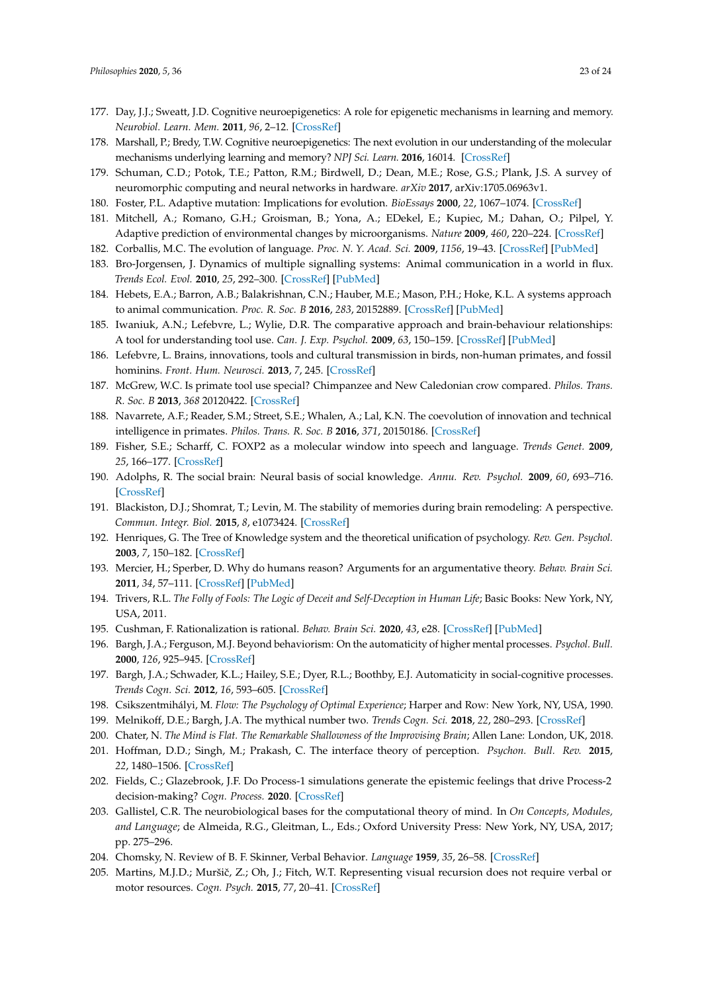- <span id="page-22-0"></span>177. Day, J.J.; Sweatt, J.D. Cognitive neuroepigenetics: A role for epigenetic mechanisms in learning and memory. *Neurobiol. Learn. Mem.* **2011**, *96*, 2–12. [\[CrossRef\]](http://dx.doi.org/10.1016/j.nlm.2010.12.008)
- <span id="page-22-1"></span>178. Marshall, P.; Bredy, T.W. Cognitive neuroepigenetics: The next evolution in our understanding of the molecular mechanisms underlying learning and memory? *NPJ Sci. Learn.* **2016**, 16014. [\[CrossRef\]](http://dx.doi.org/10.1038/npjscilearn.2016.14)
- <span id="page-22-2"></span>179. Schuman, C.D.; Potok, T.E.; Patton, R.M.; Birdwell, D.; Dean, M.E.; Rose, G.S.; Plank, J.S. A survey of neuromorphic computing and neural networks in hardware. *arXiv* **2017**, arXiv:1705.06963v1.
- <span id="page-22-4"></span><span id="page-22-3"></span>180. Foster, P.L. Adaptive mutation: Implications for evolution. *BioEssays* **2000**, *22*, 1067–1074. [\[CrossRef\]](http://dx.doi.org/10.1002/1521-1878(200012)22:12<1067::AID-BIES4>3.0.CO;2-Q)
- 181. Mitchell, A.; Romano, G.H.; Groisman, B.; Yona, A.; EDekel, E.; Kupiec, M.; Dahan, O.; Pilpel, Y. Adaptive prediction of environmental changes by microorganisms. *Nature* **2009**, *460*, 220–224. [\[CrossRef\]](http://dx.doi.org/10.1038/nature08112)
- <span id="page-22-5"></span>182. Corballis, M.C. The evolution of language. *Proc. N. Y. Acad. Sci.* **2009**, *1156*, 19–43. [\[CrossRef\]](http://dx.doi.org/10.1111/j.1749-6632.2009.04423.x) [\[PubMed\]](http://www.ncbi.nlm.nih.gov/pubmed/19338501)
- 183. Bro-Jorgensen, J. Dynamics of multiple signalling systems: Animal communication in a world in flux. *Trends Ecol. Evol.* **2010**, *25*, 292–300. [\[CrossRef\]](http://dx.doi.org/10.1016/j.tree.2009.11.003) [\[PubMed\]](http://www.ncbi.nlm.nih.gov/pubmed/20022401)
- <span id="page-22-6"></span>184. Hebets, E.A.; Barron, A.B.; Balakrishnan, C.N.; Hauber, M.E.; Mason, P.H.; Hoke, K.L. A systems approach to animal communication. *Proc. R. Soc. B* **2016**, *283*, 20152889. [\[CrossRef\]](http://dx.doi.org/10.1098/rspb.2015.2889) [\[PubMed\]](http://www.ncbi.nlm.nih.gov/pubmed/26936240)
- <span id="page-22-7"></span>185. Iwaniuk, A.N.; Lefebvre, L.; Wylie, D.R. The comparative approach and brain-behaviour relationships: A tool for understanding tool use. *Can. J. Exp. Psychol.* **2009**, *63*, 150–159. [\[CrossRef\]](http://dx.doi.org/10.1037/a0015678) [\[PubMed\]](http://www.ncbi.nlm.nih.gov/pubmed/19485606)
- 186. Lefebvre, L. Brains, innovations, tools and cultural transmission in birds, non-human primates, and fossil hominins. *Front. Hum. Neurosci.* **2013**, *7*, 245. [\[CrossRef\]](http://dx.doi.org/10.3389/fnhum.2013.00245)
- 187. McGrew, W.C. Is primate tool use special? Chimpanzee and New Caledonian crow compared. *Philos. Trans. R. Soc. B* **2013**, *368* 20120422. [\[CrossRef\]](http://dx.doi.org/10.1098/rstb.2012.0422)
- <span id="page-22-8"></span>188. Navarrete, A.F.; Reader, S.M.; Street, S.E.; Whalen, A.; Lal, K.N. The coevolution of innovation and technical intelligence in primates. *Philos. Trans. R. Soc. B* **2016**, *371*, 20150186. [\[CrossRef\]](http://dx.doi.org/10.1098/rstb.2015.0186)
- <span id="page-22-9"></span>189. Fisher, S.E.; Scharff, C. FOXP2 as a molecular window into speech and language. *Trends Genet.* **2009**, *25*, 166–177. [\[CrossRef\]](http://dx.doi.org/10.1016/j.tig.2009.03.002)
- <span id="page-22-10"></span>190. Adolphs, R. The social brain: Neural basis of social knowledge. *Annu. Rev. Psychol.* **2009**, *60*, 693–716. [\[CrossRef\]](http://dx.doi.org/10.1146/annurev.psych.60.110707.163514)
- <span id="page-22-11"></span>191. Blackiston, D.J.; Shomrat, T.; Levin, M. The stability of memories during brain remodeling: A perspective. *Commun. Integr. Biol.* **2015**, *8*, e1073424. [\[CrossRef\]](http://dx.doi.org/10.1080/19420889.2015.1073424)
- <span id="page-22-12"></span>192. Henriques, G. The Tree of Knowledge system and the theoretical unification of psychology. *Rev. Gen. Psychol.* **2003**, *7*, 150–182. [\[CrossRef\]](http://dx.doi.org/10.1037/1089-2680.7.2.150)
- 193. Mercier, H.; Sperber, D. Why do humans reason? Arguments for an argumentative theory. *Behav. Brain Sci.* **2011**, *34*, 57–111. [\[CrossRef\]](http://dx.doi.org/10.1017/S0140525X10000968) [\[PubMed\]](http://www.ncbi.nlm.nih.gov/pubmed/21447233)
- 194. Trivers, R.L. *The Folly of Fools: The Logic of Deceit and Self-Deception in Human Life*; Basic Books: New York, NY, USA, 2011.
- <span id="page-22-13"></span>195. Cushman, F. Rationalization is rational. *Behav. Brain Sci.* **2020**, *43*, e28. [\[CrossRef\]](http://dx.doi.org/10.1017/S0140525X19001730) [\[PubMed\]](http://www.ncbi.nlm.nih.gov/pubmed/31133084)
- <span id="page-22-14"></span>196. Bargh, J.A.; Ferguson, M.J. Beyond behaviorism: On the automaticity of higher mental processes. *Psychol. Bull.* **2000**, *126*, 925–945. [\[CrossRef\]](http://dx.doi.org/10.1037/0033-2909.126.6.925)
- 197. Bargh, J.A.; Schwader, K.L.; Hailey, S.E.; Dyer, R.L.; Boothby, E.J. Automaticity in social-cognitive processes. *Trends Cogn. Sci.* **2012**, *16*, 593–605. [\[CrossRef\]](http://dx.doi.org/10.1016/j.tics.2012.10.002)
- <span id="page-22-15"></span>198. Csikszentmihályi, M. *Flow: The Psychology of Optimal Experience*; Harper and Row: New York, NY, USA, 1990.
- <span id="page-22-17"></span><span id="page-22-16"></span>199. Melnikoff, D.E.; Bargh, J.A. The mythical number two. *Trends Cogn. Sci.* **2018**, *22*, 280–293. [\[CrossRef\]](http://dx.doi.org/10.1016/j.tics.2018.02.001)
- <span id="page-22-18"></span>200. Chater, N. *The Mind is Flat. The Remarkable Shallowness of the Improvising Brain*; Allen Lane: London, UK, 2018.
- 201. Hoffman, D.D.; Singh, M.; Prakash, C. The interface theory of perception. *Psychon. Bull. Rev.* **2015**, *22*, 1480–1506. [\[CrossRef\]](http://dx.doi.org/10.3758/s13423-015-0890-8)
- <span id="page-22-19"></span>202. Fields, C.; Glazebrook, J.F. Do Process-1 simulations generate the epistemic feelings that drive Process-2 decision-making? *Cogn. Process.* **2020**. [\[CrossRef\]](http://dx.doi.org/10.1007/s10339-020-00981-9)
- <span id="page-22-20"></span>203. Gallistel, C.R. The neurobiological bases for the computational theory of mind. In *On Concepts, Modules, and Language*; de Almeida, R.G., Gleitman, L., Eds.; Oxford University Press: New York, NY, USA, 2017; pp. 275–296.
- <span id="page-22-21"></span>204. Chomsky, N. Review of B. F. Skinner, Verbal Behavior. *Language* **1959**, *35*, 26–58. [\[CrossRef\]](http://dx.doi.org/10.2307/411334)
- <span id="page-22-22"></span>205. Martins, M.J.D.; Muršič, Z.; Oh, J.; Fitch, W.T. Representing visual recursion does not require verbal or motor resources. *Cogn. Psych.* **2015**, *77*, 20–41. [\[CrossRef\]](http://dx.doi.org/10.1016/j.cogpsych.2015.01.004)